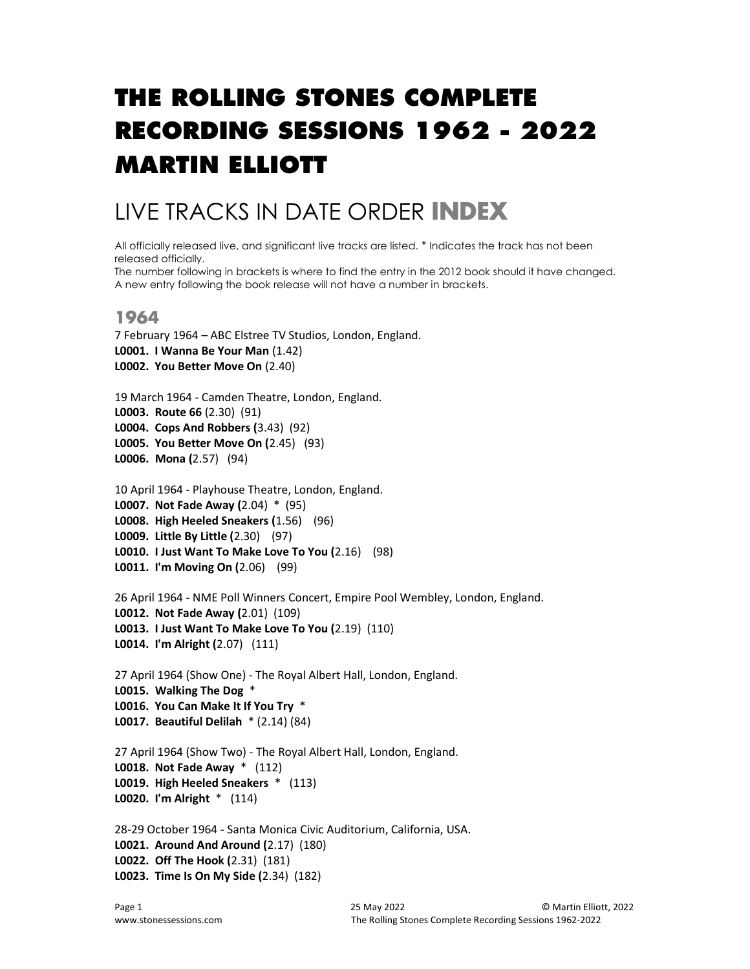# THE ROLLING STONES COMPLETE RECORDING SESSIONS 1962 - 2022 MARTIN ELLIOTT

## LIVE TRACKS IN DATE ORDER INDEX

All officially released live, and significant live tracks are listed. \* Indicates the track has not been released officially.

The number following in brackets is where to find the entry in the 2012 book should it have changed. A new entry following the book release will not have a number in brackets.

## 1964

```
7 February 1964 – ABC Elstree TV Studios, London, England. 
L0001. I Wanna Be Your Man (1.42) 
L0002. You Better Move On (2.40)
```

```
19 March 1964 - Camden Theatre, London, England.
L0003. Route 66 (2.30) (91) 
L0004. Cops And Robbers (3.43) (92) 
L0005. You Better Move On (2.45) (93) 
L0006. Mona (2.57) (94)
```

```
10 April 1964 - Playhouse Theatre, London, England. 
L0007. Not Fade Away (2.04) * (95) 
L0008. High Heeled Sneakers (1.56) (96) 
L0009. Little By Little (2.30) (97) 
L0010. I Just Want To Make Love To You (2.16) (98) 
L0011. I'm Moving On (2.06) (99)
```

```
26 April 1964 - NME Poll Winners Concert, Empire Pool Wembley, London, England.
L0012. Not Fade Away (2.01) (109) 
L0013. I Just Want To Make Love To You (2.19) (110) 
L0014. I'm Alright (2.07) (111)
```

```
27 April 1964 (Show One) - The Royal Albert Hall, London, England. 
L0015. Walking The Dog * 
L0016. You Can Make It If You Try * 
L0017. Beautiful Delilah * (2.14) (84)
```

```
27 April 1964 (Show Two) - The Royal Albert Hall, London, England. 
L0018. Not Fade Away * (112) 
L0019. High Heeled Sneakers * (113) 
L0020. I'm Alright * (114)
```

```
28-29 October 1964 - Santa Monica Civic Auditorium, California, USA.
L0021. Around And Around (2.17) (180) 
L0022. Off The Hook (2.31) (181) 
L0023. Time Is On My Side (2.34) (182)
```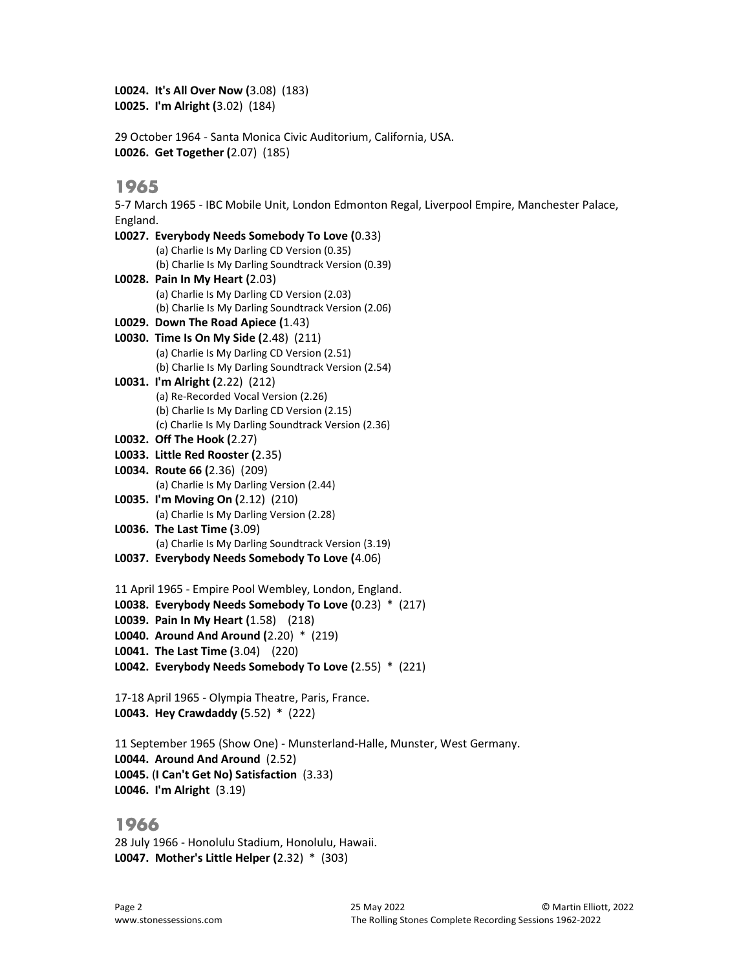L0024. It's All Over Now (3.08) (183) L0025. I'm Alright (3.02) (184)

29 October 1964 - Santa Monica Civic Auditorium, California, USA. L0026. Get Together (2.07) (185)

#### 1965

5-7 March 1965 - IBC Mobile Unit, London Edmonton Regal, Liverpool Empire, Manchester Palace, England.

L0027. Everybody Needs Somebody To Love (0.33) (a) Charlie Is My Darling CD Version (0.35) (b) Charlie Is My Darling Soundtrack Version (0.39) L0028. Pain In My Heart (2.03) (a) Charlie Is My Darling CD Version (2.03) (b) Charlie Is My Darling Soundtrack Version (2.06) L0029. Down The Road Apiece (1.43) L0030. Time Is On My Side (2.48) (211) (a) Charlie Is My Darling CD Version (2.51) (b) Charlie Is My Darling Soundtrack Version (2.54) L0031. I'm Alright (2.22) (212) (a) Re-Recorded Vocal Version (2.26) (b) Charlie Is My Darling CD Version (2.15) (c) Charlie Is My Darling Soundtrack Version (2.36) L0032. Off The Hook (2.27) L0033. Little Red Rooster (2.35) L0034. Route 66 (2.36) (209) (a) Charlie Is My Darling Version (2.44) L0035. I'm Moving On (2.12) (210) (a) Charlie Is My Darling Version (2.28) L0036. The Last Time (3.09) (a) Charlie Is My Darling Soundtrack Version (3.19) L0037. Everybody Needs Somebody To Love (4.06) 11 April 1965 - Empire Pool Wembley, London, England. L0038. Everybody Needs Somebody To Love (0.23) \* (217) L0039. Pain In My Heart (1.58) (218) L0040. Around And Around (2.20) \* (219) L0041. The Last Time (3.04) (220)

L0042. Everybody Needs Somebody To Love (2.55) \* (221)

17-18 April 1965 - Olympia Theatre, Paris, France. L0043. Hey Crawdaddy (5.52) \* (222)

11 September 1965 (Show One) - Munsterland-Halle, Munster, West Germany. L0044. Around And Around (2.52) L0045. (I Can't Get No) Satisfaction (3.33) L0046. I'm Alright (3.19)

## 1966

28 July 1966 - Honolulu Stadium, Honolulu, Hawaii. L0047. Mother's Little Helper (2.32) \* (303)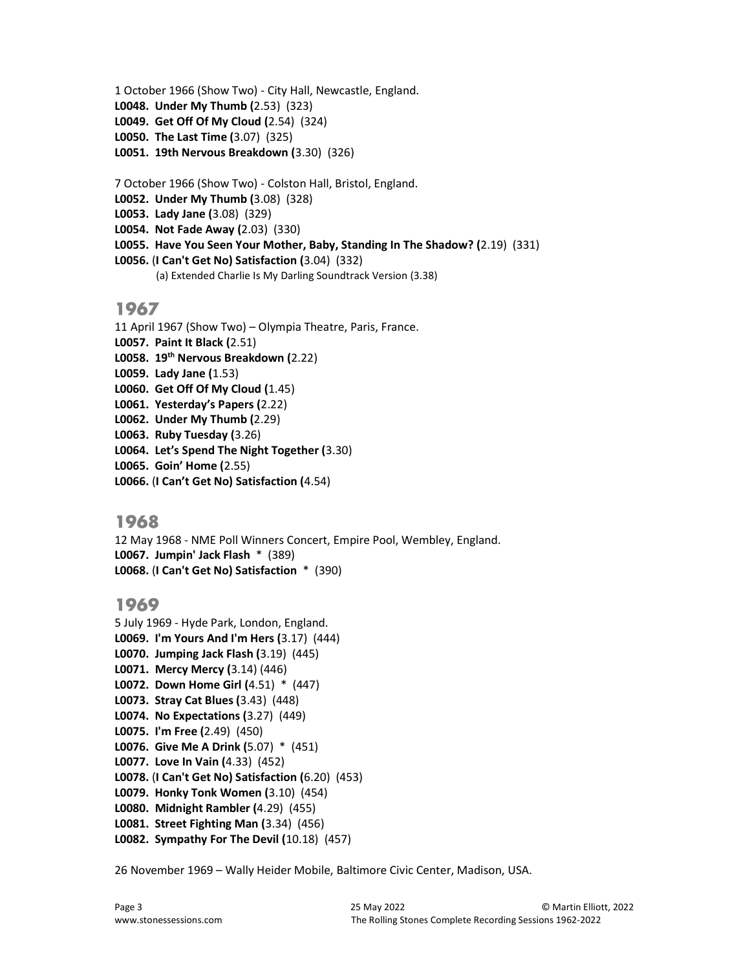1 October 1966 (Show Two) - City Hall, Newcastle, England. L0048. Under My Thumb (2.53) (323) L0049. Get Off Of My Cloud (2.54) (324) L0050. The Last Time (3.07) (325) L0051. 19th Nervous Breakdown (3.30) (326)

7 October 1966 (Show Two) - Colston Hall, Bristol, England.

L0052. Under My Thumb (3.08) (328)

L0053. Lady Jane (3.08) (329)

L0054. Not Fade Away (2.03) (330)

L0055. Have You Seen Your Mother, Baby, Standing In The Shadow? (2.19) (331)

L0056. (I Can't Get No) Satisfaction (3.04) (332)

(a) Extended Charlie Is My Darling Soundtrack Version (3.38)

## 1967

11 April 1967 (Show Two) – Olympia Theatre, Paris, France. L0057. Paint It Black (2.51) L0058. 19<sup>th</sup> Nervous Breakdown (2.22) L0059. Lady Jane (1.53) L0060. Get Off Of My Cloud (1.45) L0061. Yesterday's Papers (2.22) L0062. Under My Thumb (2.29) L0063. Ruby Tuesday (3.26) L0064. Let's Spend The Night Together (3.30) L0065. Goin' Home (2.55) L0066. (I Can't Get No) Satisfaction (4.54)

## 1968

12 May 1968 - NME Poll Winners Concert, Empire Pool, Wembley, England. L0067. Jumpin' Jack Flash \* (389) L0068. (I Can't Get No) Satisfaction \* (390)

## 1969

5 July 1969 - Hyde Park, London, England. L0069. I'm Yours And I'm Hers (3.17) (444) L0070. Jumping Jack Flash (3.19) (445) L0071. Mercy Mercy (3.14) (446) L0072. Down Home Girl (4.51) \* (447) L0073. Stray Cat Blues (3.43) (448) L0074. No Expectations (3.27) (449) L0075. I'm Free (2.49) (450) L0076. Give Me A Drink (5.07) \* (451) L0077. Love In Vain (4.33) (452) L0078. (I Can't Get No) Satisfaction (6.20) (453) L0079. Honky Tonk Women (3.10) (454) L0080. Midnight Rambler (4.29) (455) L0081. Street Fighting Man (3.34) (456) L0082. Sympathy For The Devil (10.18) (457)

26 November 1969 – Wally Heider Mobile, Baltimore Civic Center, Madison, USA.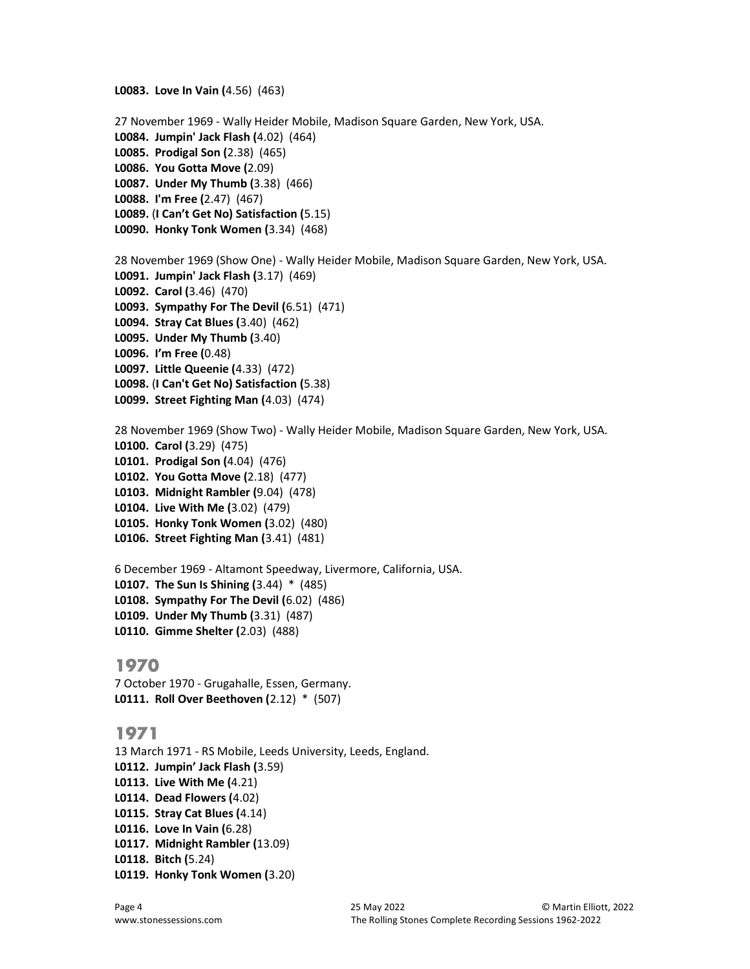27 November 1969 - Wally Heider Mobile, Madison Square Garden, New York, USA. L0084. Jumpin' Jack Flash (4.02) (464) L0085. Prodigal Son (2.38) (465) L0086. You Gotta Move (2.09) L0087. Under My Thumb (3.38) (466) L0088. I'm Free (2.47) (467) L0089. (I Can't Get No) Satisfaction (5.15) L0090. Honky Tonk Women (3.34) (468) 28 November 1969 (Show One) - Wally Heider Mobile, Madison Square Garden, New York, USA. L0091. Jumpin' Jack Flash (3.17) (469) L0092. Carol (3.46) (470) L0093. Sympathy For The Devil (6.51) (471) L0094. Stray Cat Blues (3.40) (462) L0095. Under My Thumb (3.40) L0096. I'm Free (0.48) L0097. Little Queenie (4.33) (472) L0098. (I Can't Get No) Satisfaction (5.38) L0099. Street Fighting Man (4.03) (474)

28 November 1969 (Show Two) - Wally Heider Mobile, Madison Square Garden, New York, USA. L0100. Carol (3.29) (475) L0101. Prodigal Son (4.04) (476) L0102. You Gotta Move (2.18) (477) L0103. Midnight Rambler (9.04) (478) L0104. Live With Me (3.02) (479) L0105. Honky Tonk Women (3.02) (480) L0106. Street Fighting Man (3.41) (481)

6 December 1969 - Altamont Speedway, Livermore, California, USA. L0107. The Sun Is Shining (3.44) \* (485) L0108. Sympathy For The Devil (6.02) (486) L0109. Under My Thumb (3.31) (487) L0110. Gimme Shelter (2.03) (488)

#### 1970

7 October 1970 - Grugahalle, Essen, Germany. L0111. Roll Over Beethoven (2.12) \* (507)

L0083. Love In Vain (4.56) (463)

#### 1971

13 March 1971 - RS Mobile, Leeds University, Leeds, England. L0112. Jumpin' Jack Flash (3.59) L0113. Live With Me (4.21) L0114. Dead Flowers (4.02) L0115. Stray Cat Blues (4.14) L0116. Love In Vain (6.28) L0117. Midnight Rambler (13.09) L0118. Bitch (5.24) L0119. Honky Tonk Women (3.20)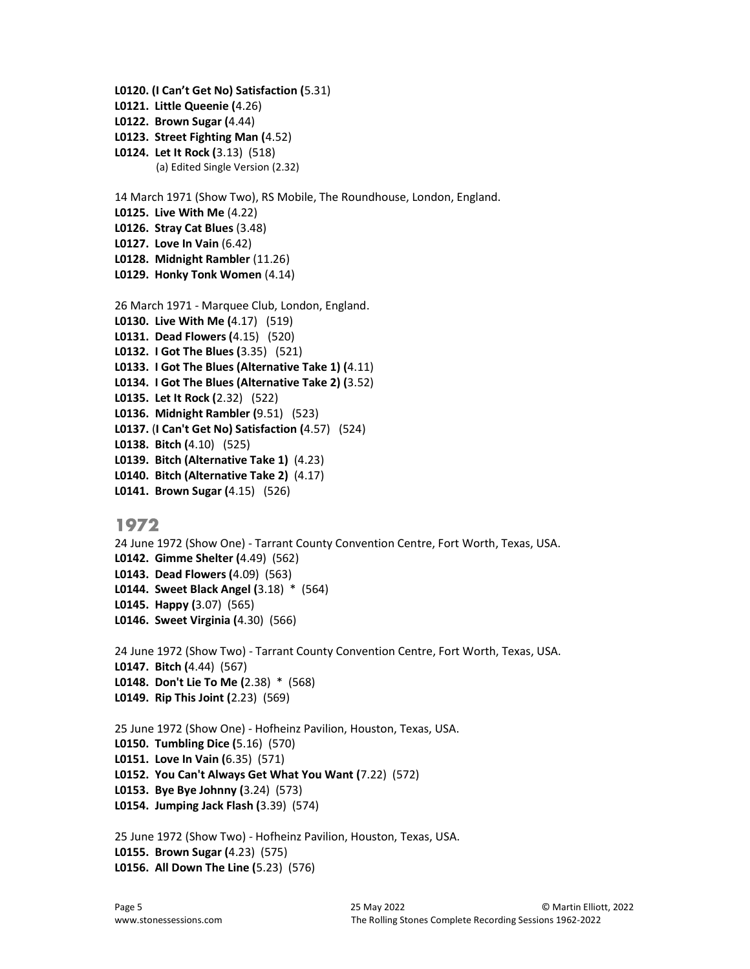```
L0120. (I Can't Get No) Satisfaction (5.31) 
L0121. Little Queenie (4.26) 
L0122. Brown Sugar (4.44) 
L0123. Street Fighting Man (4.52) 
L0124. Let It Rock (3.13) (518) 
        (a) Edited Single Version (2.32) 
14 March 1971 (Show Two), RS Mobile, The Roundhouse, London, England. 
L0125. Live With Me (4.22) 
L0126. Stray Cat Blues (3.48) 
L0127. Love In Vain (6.42) 
L0128. Midnight Rambler (11.26) 
L0129. Honky Tonk Women (4.14) 
26 March 1971 - Marquee Club, London, England.
L0130. Live With Me (4.17) (519) 
L0131. Dead Flowers (4.15) (520) 
L0132. I Got The Blues (3.35) (521) 
L0133. I Got The Blues (Alternative Take 1) (4.11) 
L0134. I Got The Blues (Alternative Take 2) (3.52) 
L0135. Let It Rock (2.32) (522) 
L0136. Midnight Rambler (9.51) (523) 
L0137. (I Can't Get No) Satisfaction (4.57) (524) 
L0138. Bitch (4.10) (525) 
L0139. Bitch (Alternative Take 1) (4.23) 
L0140. Bitch (Alternative Take 2) (4.17) 
L0141. Brown Sugar (4.15) (526)
```
24 June 1972 (Show One) - Tarrant County Convention Centre, Fort Worth, Texas, USA. L0142. Gimme Shelter (4.49) (562) L0143. Dead Flowers (4.09) (563) L0144. Sweet Black Angel (3.18) \* (564) L0145. Happy (3.07) (565) L0146. Sweet Virginia (4.30) (566)

24 June 1972 (Show Two) - Tarrant County Convention Centre, Fort Worth, Texas, USA. L0147. Bitch (4.44) (567) L0148. Don't Lie To Me (2.38) \* (568) L0149. Rip This Joint (2.23) (569)

25 June 1972 (Show One) - Hofheinz Pavilion, Houston, Texas, USA. L0150. Tumbling Dice (5.16) (570) L0151. Love In Vain (6.35) (571) L0152. You Can't Always Get What You Want (7.22) (572) L0153. Bye Bye Johnny (3.24) (573) L0154. Jumping Jack Flash (3.39) (574)

25 June 1972 (Show Two) - Hofheinz Pavilion, Houston, Texas, USA. L0155. Brown Sugar (4.23) (575) L0156. All Down The Line (5.23) (576)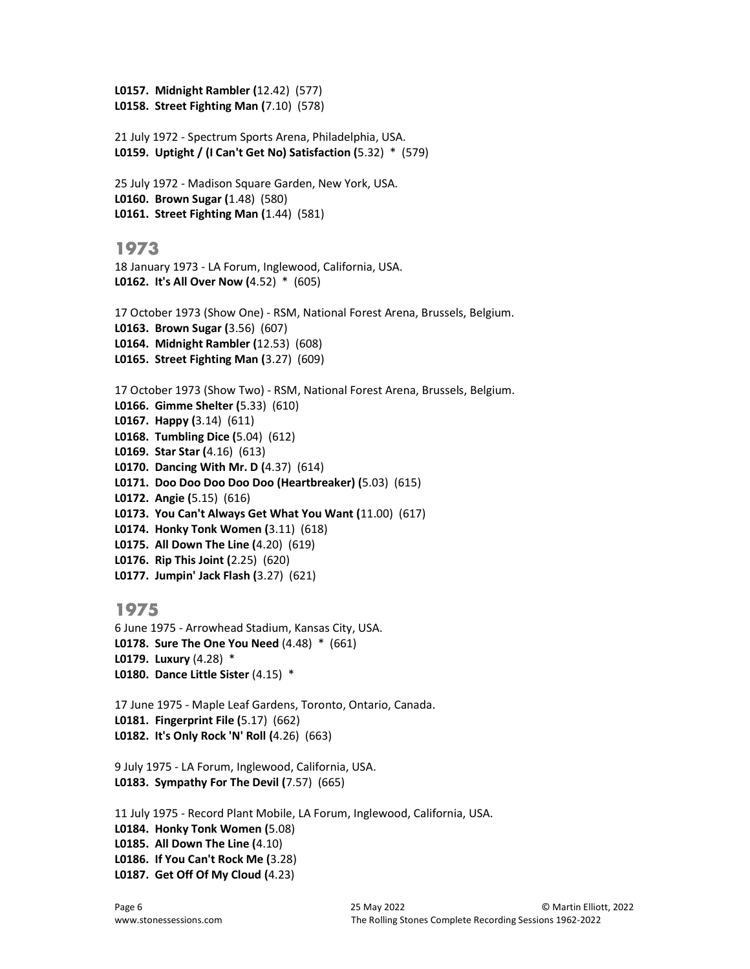L0157. Midnight Rambler (12.42) (577) L0158. Street Fighting Man (7.10) (578)

```
21 July 1972 - Spectrum Sports Arena, Philadelphia, USA.
L0159. Uptight / (I Can't Get No) Satisfaction (5.32) * (579)
```

```
25 July 1972 - Madison Square Garden, New York, USA.
L0160. Brown Sugar (1.48) (580) 
L0161. Street Fighting Man (1.44) (581)
```
## 1973

18 January 1973 - LA Forum, Inglewood, California, USA. L0162. It's All Over Now (4.52) \* (605)

17 October 1973 (Show One) - RSM, National Forest Arena, Brussels, Belgium. L0163. Brown Sugar (3.56) (607) L0164. Midnight Rambler (12.53) (608) L0165. Street Fighting Man (3.27) (609)

17 October 1973 (Show Two) - RSM, National Forest Arena, Brussels, Belgium. L0166. Gimme Shelter (5.33) (610) L0167. Happy (3.14) (611) L0168. Tumbling Dice (5.04) (612) L0169. Star Star (4.16) (613) L0170. Dancing With Mr. D (4.37) (614) L0171. Doo Doo Doo Doo Doo (Heartbreaker) (5.03) (615) L0172. Angie (5.15) (616) L0173. You Can't Always Get What You Want (11.00) (617) L0174. Honky Tonk Women (3.11) (618) L0175. All Down The Line (4.20) (619) L0176. Rip This Joint (2.25) (620) L0177. Jumpin' Jack Flash (3.27) (621)

## 1975

6 June 1975 - Arrowhead Stadium, Kansas City, USA. L0178. Sure The One You Need (4.48) \* (661) L0179. Luxury (4.28) \* L0180. Dance Little Sister (4.15) \*

17 June 1975 - Maple Leaf Gardens, Toronto, Ontario, Canada. L0181. Fingerprint File (5.17) (662) L0182. It's Only Rock 'N' Roll (4.26) (663)

9 July 1975 - LA Forum, Inglewood, California, USA. L0183. Sympathy For The Devil (7.57) (665)

11 July 1975 - Record Plant Mobile, LA Forum, Inglewood, California, USA. L0184. Honky Tonk Women (5.08) L0185. All Down The Line (4.10) L0186. If You Can't Rock Me (3.28) L0187. Get Off Of My Cloud (4.23)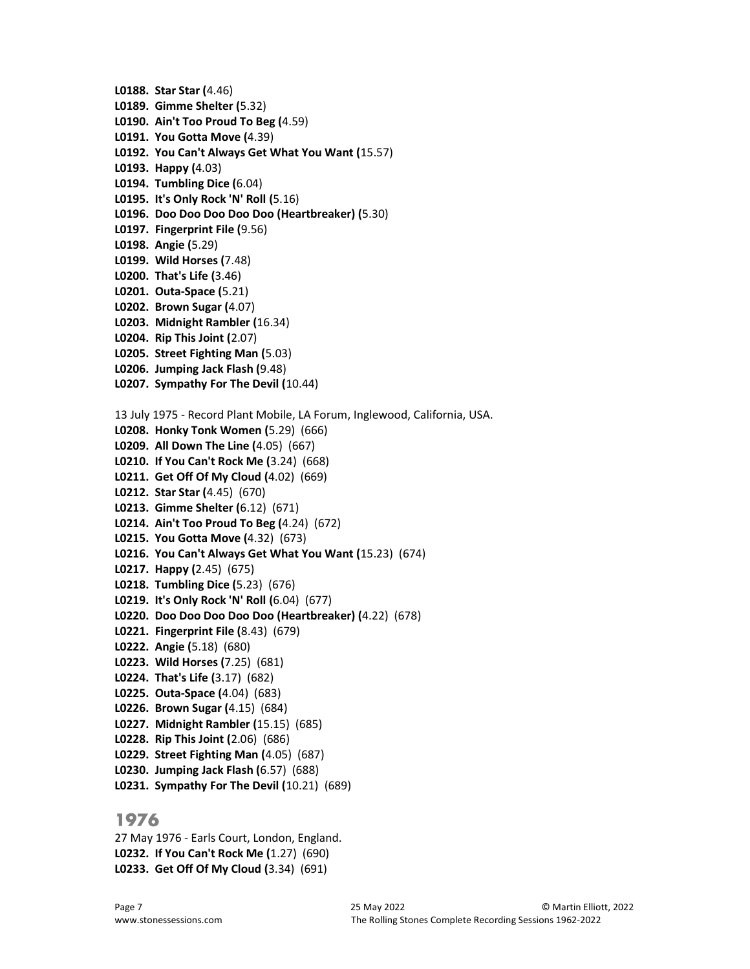- L0188. Star Star (4.46)
- L0189. Gimme Shelter (5.32)
- L0190. Ain't Too Proud To Beg (4.59)
- L0191. You Gotta Move (4.39)
- L0192. You Can't Always Get What You Want (15.57)
- L0193. Happy (4.03)
- L0194. Tumbling Dice (6.04)
- L0195. It's Only Rock 'N' Roll (5.16)
- L0196. Doo Doo Doo Doo Doo (Heartbreaker) (5.30)
- L0197. Fingerprint File (9.56)
- L0198. Angie (5.29)
- L0199. Wild Horses (7.48)
- L0200. That's Life (3.46)
- L0201. Outa-Space (5.21)
- L0202. Brown Sugar (4.07)
- L0203. Midnight Rambler (16.34)
- L0204. Rip This Joint (2.07)
- L0205. Street Fighting Man (5.03)
- L0206. Jumping Jack Flash (9.48)
- L0207. Sympathy For The Devil (10.44)
- 13 July 1975 Record Plant Mobile, LA Forum, Inglewood, California, USA.
- L0208. Honky Tonk Women (5.29) (666)
- L0209. All Down The Line (4.05) (667)
- L0210. If You Can't Rock Me (3.24) (668)
- L0211. Get Off Of My Cloud (4.02) (669)
- L0212. Star Star (4.45) (670)
- L0213. Gimme Shelter (6.12) (671)
- L0214. Ain't Too Proud To Beg (4.24) (672)
- L0215. You Gotta Move (4.32) (673)
- L0216. You Can't Always Get What You Want (15.23) (674)
- L0217. Happy (2.45) (675)
- L0218. Tumbling Dice (5.23) (676)
- L0219. It's Only Rock 'N' Roll (6.04) (677)
- L0220. Doo Doo Doo Doo Doo (Heartbreaker) (4.22) (678)
- L0221. Fingerprint File (8.43) (679)
- L0222. Angie (5.18) (680)
- L0223. Wild Horses (7.25) (681)
- L0224. That's Life (3.17) (682)
- L0225. Outa-Space (4.04) (683)
- L0226. Brown Sugar (4.15) (684)
- L0227. Midnight Rambler (15.15) (685)
- L0228. Rip This Joint (2.06) (686)
- L0229. Street Fighting Man (4.05) (687)
- L0230. Jumping Jack Flash (6.57) (688)
- L0231. Sympathy For The Devil (10.21) (689)

27 May 1976 - Earls Court, London, England. L0232. If You Can't Rock Me (1.27) (690) L0233. Get Off Of My Cloud (3.34) (691)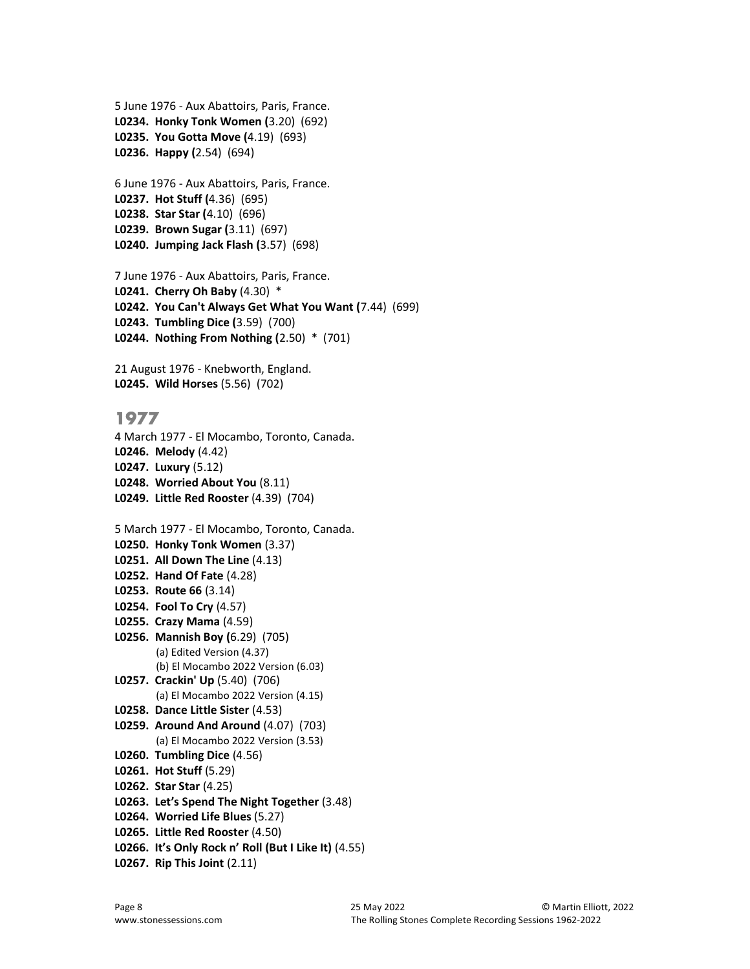```
5 June 1976 - Aux Abattoirs, Paris, France.
L0234. Honky Tonk Women (3.20) (692) 
L0235. You Gotta Move (4.19) (693) 
L0236. Happy (2.54) (694)
```
6 June 1976 - Aux Abattoirs, Paris, France. L0237. Hot Stuff (4.36) (695) L0238. Star Star (4.10) (696) L0239. Brown Sugar (3.11) (697) L0240. Jumping Jack Flash (3.57) (698)

7 June 1976 - Aux Abattoirs, Paris, France. L0241. Cherry Oh Baby (4.30) \* L0242. You Can't Always Get What You Want (7.44) (699) L0243. Tumbling Dice (3.59) (700) L0244. Nothing From Nothing (2.50) \* (701)

21 August 1976 - Knebworth, England. L0245. Wild Horses (5.56) (702)

#### 1977

4 March 1977 - El Mocambo, Toronto, Canada. L0246. Melody (4.42) L0247. Luxury (5.12) L0248. Worried About You (8.11) L0249. Little Red Rooster (4.39) (704)

5 March 1977 - El Mocambo, Toronto, Canada. L0250. Honky Tonk Women (3.37) L0251. All Down The Line (4.13) L0252. Hand Of Fate (4.28) L0253. Route 66 (3.14) L0254. Fool To Cry (4.57) L0255. Crazy Mama (4.59) L0256. Mannish Boy (6.29) (705) (a) Edited Version (4.37) (b) El Mocambo 2022 Version (6.03) L0257. Crackin' Up (5.40) (706) (a) El Mocambo 2022 Version (4.15) L0258. Dance Little Sister (4.53) L0259. Around And Around (4.07) (703) (a) El Mocambo 2022 Version (3.53) L0260. Tumbling Dice (4.56) L0261. Hot Stuff (5.29) L0262. Star Star (4.25) L0263. Let's Spend The Night Together (3.48) L0264. Worried Life Blues (5.27) L0265. Little Red Rooster (4.50) L0266. It's Only Rock n' Roll (But I Like It) (4.55)

L0267. Rip This Joint (2.11)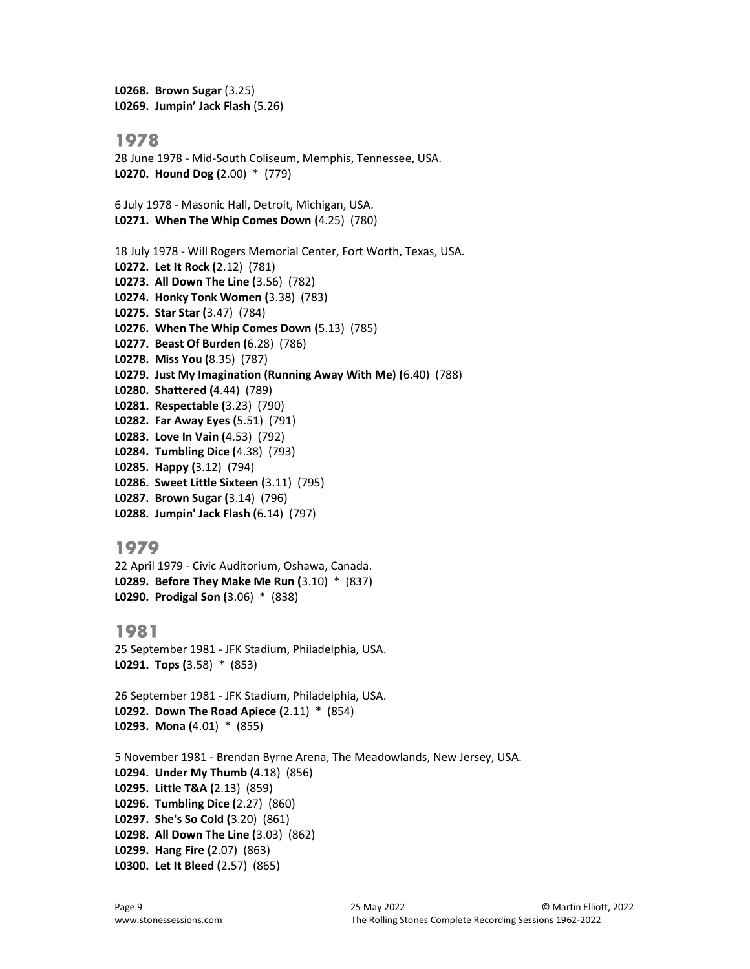L0268. Brown Sugar (3.25) L0269. Jumpin' Jack Flash (5.26)

#### 1978

28 June 1978 - Mid-South Coliseum, Memphis, Tennessee, USA. L0270. Hound Dog (2.00) \* (779)

6 July 1978 - Masonic Hall, Detroit, Michigan, USA. L0271. When The Whip Comes Down (4.25) (780)

18 July 1978 - Will Rogers Memorial Center, Fort Worth, Texas, USA. L0272. Let It Rock (2.12) (781) L0273. All Down The Line (3.56) (782) L0274. Honky Tonk Women (3.38) (783) L0275. Star Star (3.47) (784) L0276. When The Whip Comes Down (5.13) (785) L0277. Beast Of Burden (6.28) (786) L0278. Miss You (8.35) (787) L0279. Just My Imagination (Running Away With Me) (6.40) (788) L0280. Shattered (4.44) (789) L0281. Respectable (3.23) (790) L0282. Far Away Eyes (5.51) (791) L0283. Love In Vain (4.53) (792) L0284. Tumbling Dice (4.38) (793) L0285. Happy (3.12) (794) L0286. Sweet Little Sixteen (3.11) (795) L0287. Brown Sugar (3.14) (796) L0288. Jumpin' Jack Flash (6.14) (797)

#### 1979

22 April 1979 - Civic Auditorium, Oshawa, Canada. L0289. Before They Make Me Run (3.10) \* (837) L0290. Prodigal Son (3.06) \* (838)

#### 1981

25 September 1981 - JFK Stadium, Philadelphia, USA. L0291. Tops (3.58) \* (853)

26 September 1981 - JFK Stadium, Philadelphia, USA. L0292. Down The Road Apiece (2.11) \* (854) L0293. Mona (4.01) \* (855)

5 November 1981 - Brendan Byrne Arena, The Meadowlands, New Jersey, USA. L0294. Under My Thumb (4.18) (856) L0295. Little T&A (2.13) (859) L0296. Tumbling Dice (2.27) (860) L0297. She's So Cold (3.20) (861) L0298. All Down The Line (3.03) (862) L0299. Hang Fire (2.07) (863) L0300. Let It Bleed (2.57) (865)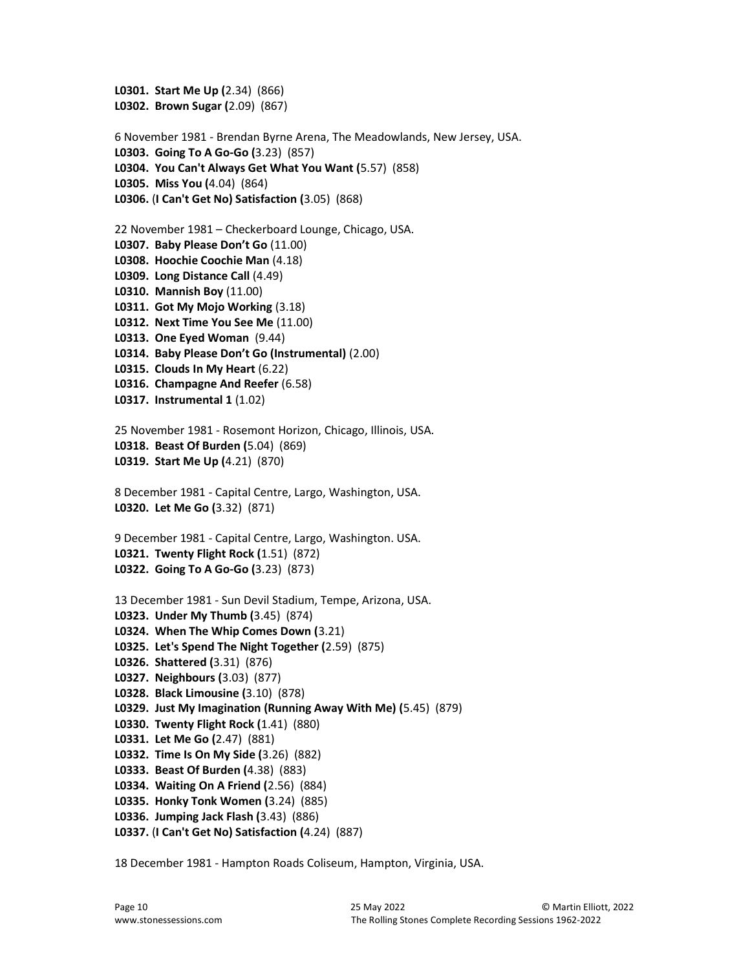```
L0301. Start Me Up (2.34) (866) 
L0302. Brown Sugar (2.09) (867) 
6 November 1981 - Brendan Byrne Arena, The Meadowlands, New Jersey, USA.
L0303. Going To A Go-Go (3.23) (857) 
L0304. You Can't Always Get What You Want (5.57) (858) 
L0305. Miss You (4.04) (864) 
L0306. (I Can't Get No) Satisfaction (3.05) (868) 
22 November 1981 – Checkerboard Lounge, Chicago, USA. 
L0307. Baby Please Don't Go (11.00) 
L0308. Hoochie Coochie Man (4.18) 
L0309. Long Distance Call (4.49) 
L0310. Mannish Boy (11.00) 
L0311. Got My Mojo Working (3.18) 
L0312. Next Time You See Me (11.00) 
L0313. One Eyed Woman (9.44) 
L0314. Baby Please Don't Go (Instrumental) (2.00) 
L0315. Clouds In My Heart (6.22) 
L0316. Champagne And Reefer (6.58) 
L0317. Instrumental 1 (1.02) 
25 November 1981 - Rosemont Horizon, Chicago, Illinois, USA. 
L0318. Beast Of Burden (5.04) (869) 
L0319. Start Me Up (4.21) (870) 
8 December 1981 - Capital Centre, Largo, Washington, USA.
L0320. Let Me Go (3.32) (871) 
9 December 1981 - Capital Centre, Largo, Washington. USA. 
L0321. Twenty Flight Rock (1.51) (872) 
L0322. Going To A Go-Go (3.23) (873) 
13 December 1981 - Sun Devil Stadium, Tempe, Arizona, USA. 
L0323. Under My Thumb (3.45) (874) 
L0324. When The Whip Comes Down (3.21) 
L0325. Let's Spend The Night Together (2.59) (875) 
L0326. Shattered (3.31) (876) 
L0327. Neighbours (3.03) (877) 
L0328. Black Limousine (3.10) (878) 
L0329. Just My Imagination (Running Away With Me) (5.45) (879) 
L0330. Twenty Flight Rock (1.41) (880) 
L0331. Let Me Go (2.47) (881) 
L0332. Time Is On My Side (3.26) (882) 
L0333. Beast Of Burden (4.38) (883) 
L0334. Waiting On A Friend (2.56) (884) 
L0335. Honky Tonk Women (3.24) (885) 
L0336. Jumping Jack Flash (3.43) (886) 
L0337. (I Can't Get No) Satisfaction (4.24) (887)
```
18 December 1981 - Hampton Roads Coliseum, Hampton, Virginia, USA.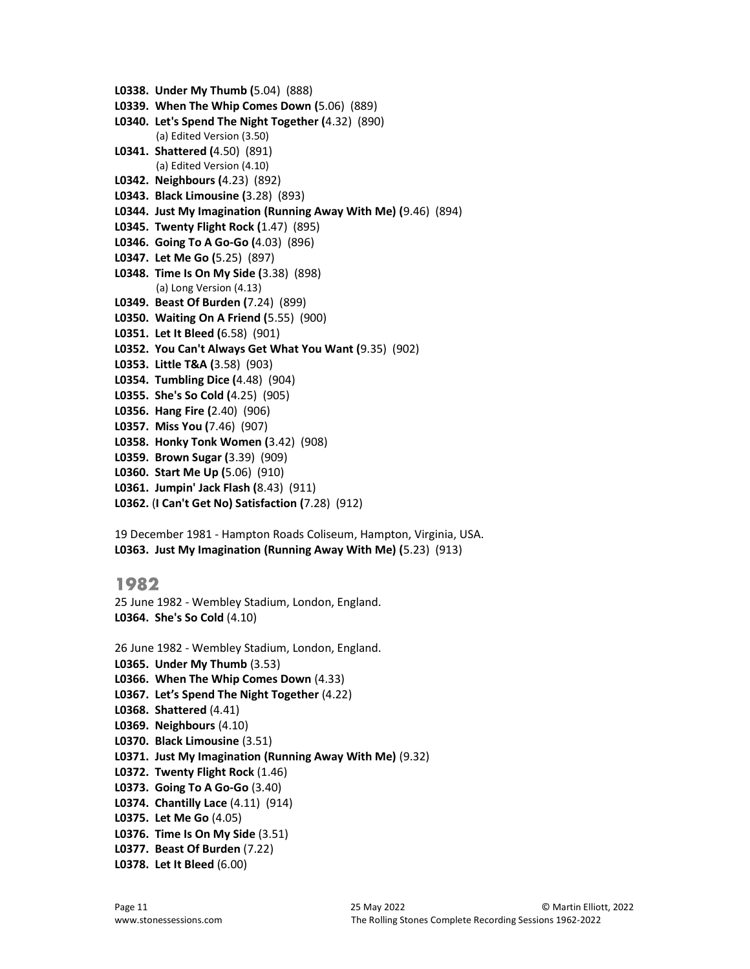- L0338. Under My Thumb (5.04) (888)
- L0339. When The Whip Comes Down (5.06) (889)
- L0340. Let's Spend The Night Together (4.32) (890) (a) Edited Version (3.50)
- L0341. Shattered (4.50) (891) (a) Edited Version (4.10)
- L0342. Neighbours (4.23) (892)
- L0343. Black Limousine (3.28) (893)
- L0344. Just My Imagination (Running Away With Me) (9.46) (894)
- L0345. Twenty Flight Rock (1.47) (895)
- L0346. Going To A Go-Go (4.03) (896)
- L0347. Let Me Go (5.25) (897)
- L0348. Time Is On My Side (3.38) (898) (a) Long Version (4.13)
- L0349. Beast Of Burden (7.24) (899)
- L0350. Waiting On A Friend (5.55) (900)
- L0351. Let It Bleed (6.58) (901)
- L0352. You Can't Always Get What You Want (9.35) (902)
- L0353. Little T&A (3.58) (903)
- L0354. Tumbling Dice (4.48) (904)
- L0355. She's So Cold (4.25) (905)
- L0356. Hang Fire (2.40) (906)
- L0357. Miss You (7.46) (907)
- L0358. Honky Tonk Women (3.42) (908)
- L0359. Brown Sugar (3.39) (909)
- L0360. Start Me Up (5.06) (910)
- L0361. Jumpin' Jack Flash (8.43) (911)
- L0362. (I Can't Get No) Satisfaction (7.28) (912)

19 December 1981 - Hampton Roads Coliseum, Hampton, Virginia, USA. L0363. Just My Imagination (Running Away With Me) (5.23) (913)

#### 1982

25 June 1982 - Wembley Stadium, London, England. L0364. She's So Cold (4.10)

26 June 1982 - Wembley Stadium, London, England.

- L0365. Under My Thumb (3.53)
- L0366. When The Whip Comes Down (4.33)
- L0367. Let's Spend The Night Together (4.22)
- L0368. Shattered (4.41)
- L0369. Neighbours (4.10)
- L0370. Black Limousine (3.51)
- L0371. Just My Imagination (Running Away With Me) (9.32)
- L0372. Twenty Flight Rock (1.46)
- L0373. Going To A Go-Go (3.40)
- L0374. Chantilly Lace (4.11) (914)
- L0375. Let Me Go (4.05)
- L0376. Time Is On My Side (3.51)
- L0377. Beast Of Burden (7.22)
- L0378. Let It Bleed (6.00)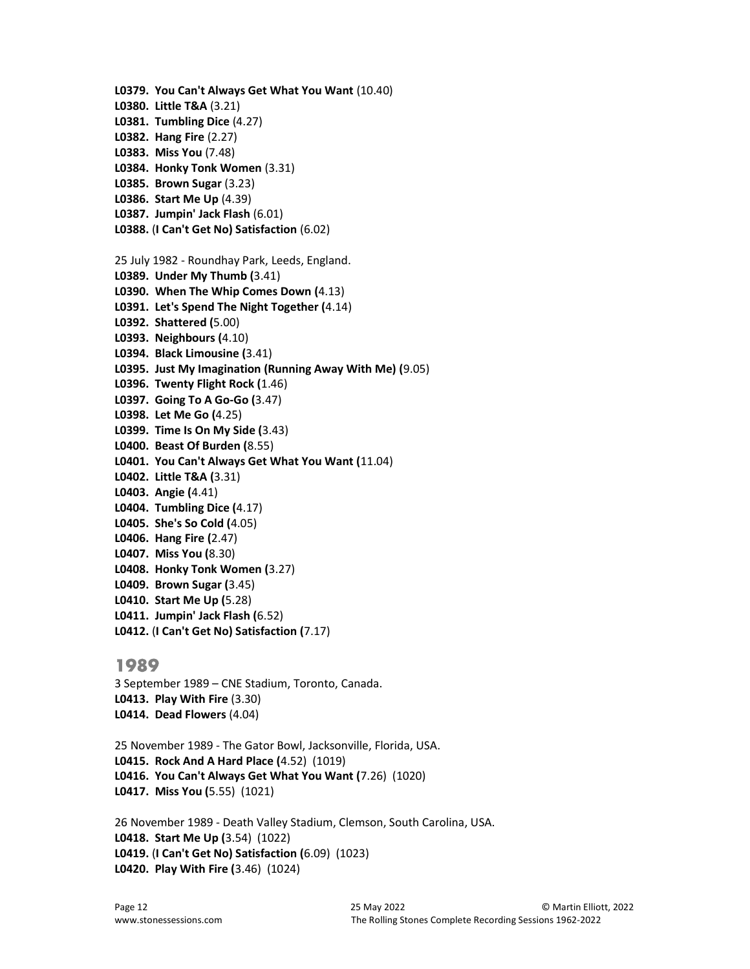L0379. You Can't Always Get What You Want (10.40) L0380. Little T&A (3.21) L0381. Tumbling Dice (4.27) L0382. Hang Fire (2.27) L0383. Miss You (7.48) L0384. Honky Tonk Women (3.31) L0385. Brown Sugar (3.23) L0386. Start Me Up (4.39) L0387. Jumpin' Jack Flash (6.01) L0388. (I Can't Get No) Satisfaction (6.02) 25 July 1982 - Roundhay Park, Leeds, England. L0389. Under My Thumb (3.41) L0390. When The Whip Comes Down (4.13) L0391. Let's Spend The Night Together (4.14) L0392. Shattered (5.00) L0393. Neighbours (4.10) L0394. Black Limousine (3.41) L0395. Just My Imagination (Running Away With Me) (9.05) L0396. Twenty Flight Rock (1.46) L0397. Going To A Go-Go (3.47) L0398. Let Me Go (4.25) L0399. Time Is On My Side (3.43) L0400. Beast Of Burden (8.55) L0401. You Can't Always Get What You Want (11.04) L0402. Little T&A (3.31) L0403. Angie (4.41) L0404. Tumbling Dice (4.17) L0405. She's So Cold (4.05) L0406. Hang Fire (2.47) L0407. Miss You (8.30) L0408. Honky Tonk Women (3.27) L0409. Brown Sugar (3.45) L0410. Start Me Up (5.28) L0411. Jumpin' Jack Flash (6.52) L0412. (I Can't Get No) Satisfaction (7.17)

#### 1989

3 September 1989 – CNE Stadium, Toronto, Canada. L0413. Play With Fire (3.30) L0414. Dead Flowers (4.04)

25 November 1989 - The Gator Bowl, Jacksonville, Florida, USA. L0415. Rock And A Hard Place (4.52) (1019) L0416. You Can't Always Get What You Want (7.26) (1020) L0417. Miss You (5.55) (1021)

26 November 1989 - Death Valley Stadium, Clemson, South Carolina, USA. L0418. Start Me Up (3.54) (1022) L0419. (I Can't Get No) Satisfaction (6.09) (1023) L0420. Play With Fire (3.46) (1024)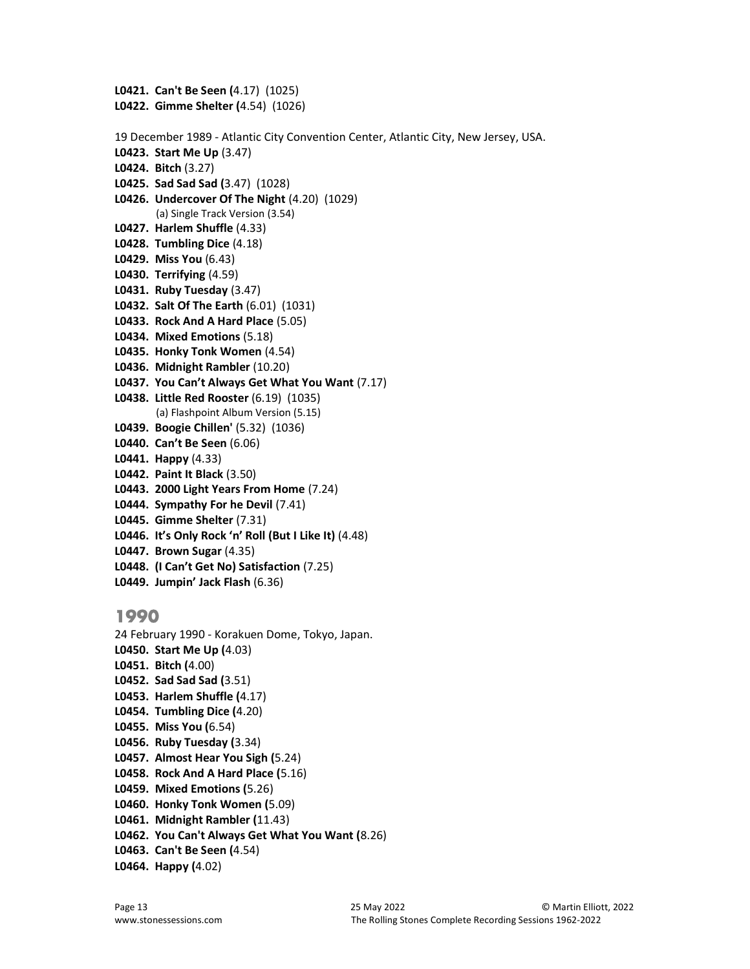L0421. Can't Be Seen (4.17) (1025) L0422. Gimme Shelter (4.54) (1026) 19 December 1989 - Atlantic City Convention Center, Atlantic City, New Jersey, USA. L0423. Start Me Up (3.47) L0424. Bitch (3.27) L0425. Sad Sad Sad (3.47) (1028) L0426. Undercover Of The Night (4.20) (1029) (a) Single Track Version (3.54) L0427. Harlem Shuffle (4.33) L0428. Tumbling Dice (4.18) L0429. Miss You (6.43) L0430. Terrifying (4.59) L0431. Ruby Tuesday (3.47) L0432. Salt Of The Earth (6.01) (1031) L0433. Rock And A Hard Place (5.05) L0434. Mixed Emotions (5.18) L0435. Honky Tonk Women (4.54) L0436. Midnight Rambler (10.20) L0437. You Can't Always Get What You Want (7.17) L0438. Little Red Rooster (6.19) (1035) (a) Flashpoint Album Version (5.15) L0439. Boogie Chillen' (5.32) (1036) L0440. Can't Be Seen (6.06) L0441. Happy (4.33) L0442. Paint It Black (3.50) L0443. 2000 Light Years From Home (7.24) L0444. Sympathy For he Devil (7.41) L0445. Gimme Shelter (7.31) L0446. It's Only Rock 'n' Roll (But I Like It) (4.48) L0447. Brown Sugar (4.35) L0448. (I Can't Get No) Satisfaction (7.25) L0449. Jumpin' Jack Flash (6.36) 1990 24 February 1990 - Korakuen Dome, Tokyo, Japan.

L0450. Start Me Up (4.03) L0451. Bitch (4.00) L0452. Sad Sad Sad (3.51) L0453. Harlem Shuffle (4.17) L0454. Tumbling Dice (4.20) L0455. Miss You (6.54) L0456. Ruby Tuesday (3.34) L0457. Almost Hear You Sigh (5.24) L0458. Rock And A Hard Place (5.16) L0459. Mixed Emotions (5.26) L0460. Honky Tonk Women (5.09) L0461. Midnight Rambler (11.43) L0462. You Can't Always Get What You Want (8.26) L0463. Can't Be Seen (4.54) L0464. Happy (4.02)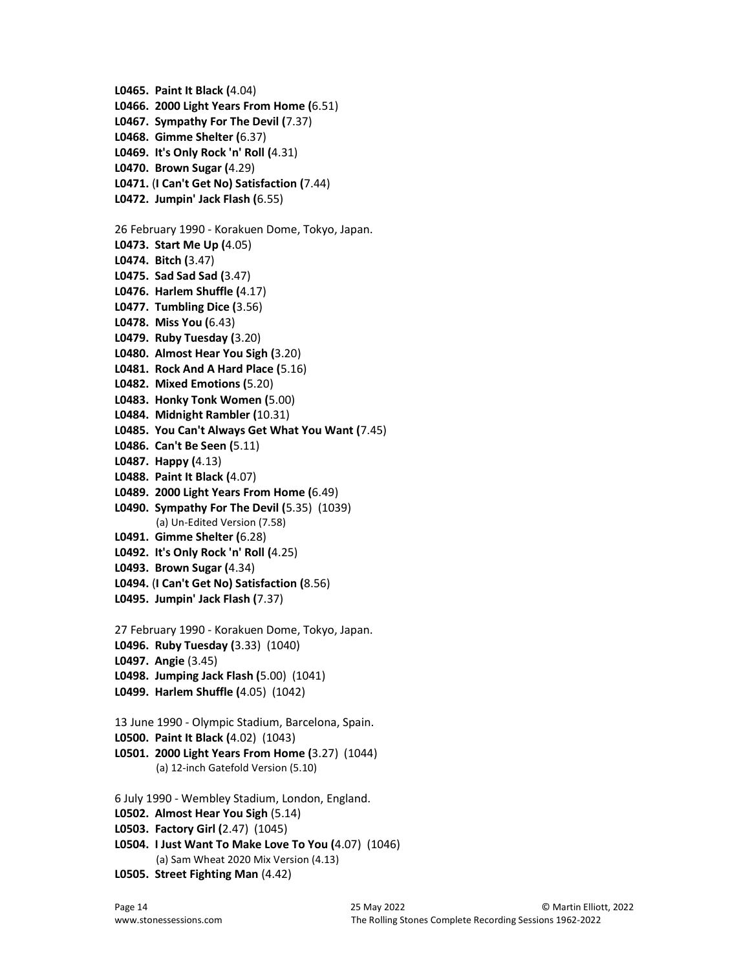L0465. Paint It Black (4.04) L0466. 2000 Light Years From Home (6.51) L0467. Sympathy For The Devil (7.37) L0468. Gimme Shelter (6.37) L0469. It's Only Rock 'n' Roll (4.31) L0470. Brown Sugar (4.29) L0471. (I Can't Get No) Satisfaction (7.44) L0472. Jumpin' Jack Flash (6.55) 26 February 1990 - Korakuen Dome, Tokyo, Japan. L0473. Start Me Up (4.05) L0474. Bitch (3.47) L0475. Sad Sad Sad (3.47) L0476. Harlem Shuffle (4.17) L0477. Tumbling Dice (3.56) L0478. Miss You (6.43) L0479. Ruby Tuesday (3.20) L0480. Almost Hear You Sigh (3.20) L0481. Rock And A Hard Place (5.16) L0482. Mixed Emotions (5.20) L0483. Honky Tonk Women (5.00) L0484. Midnight Rambler (10.31) L0485. You Can't Always Get What You Want (7.45) L0486. Can't Be Seen (5.11) L0487. Happy (4.13) L0488. Paint It Black (4.07) L0489. 2000 Light Years From Home (6.49) L0490. Sympathy For The Devil (5.35) (1039) (a) Un-Edited Version (7.58) L0491. Gimme Shelter (6.28) L0492. It's Only Rock 'n' Roll (4.25) L0493. Brown Sugar (4.34) L0494. (I Can't Get No) Satisfaction (8.56) L0495. Jumpin' Jack Flash (7.37) 27 February 1990 - Korakuen Dome, Tokyo, Japan. L0496. Ruby Tuesday (3.33) (1040) L0497. Angie (3.45) L0498. Jumping Jack Flash (5.00) (1041) L0499. Harlem Shuffle (4.05) (1042) 13 June 1990 - Olympic Stadium, Barcelona, Spain. L0500. Paint It Black (4.02) (1043) L0501. 2000 Light Years From Home (3.27) (1044) (a) 12-inch Gatefold Version (5.10) 6 July 1990 - Wembley Stadium, London, England. L0502. Almost Hear You Sigh (5.14) L0503. Factory Girl (2.47) (1045) L0504. I Just Want To Make Love To You (4.07) (1046) (a) Sam Wheat 2020 Mix Version (4.13) L0505. Street Fighting Man (4.42)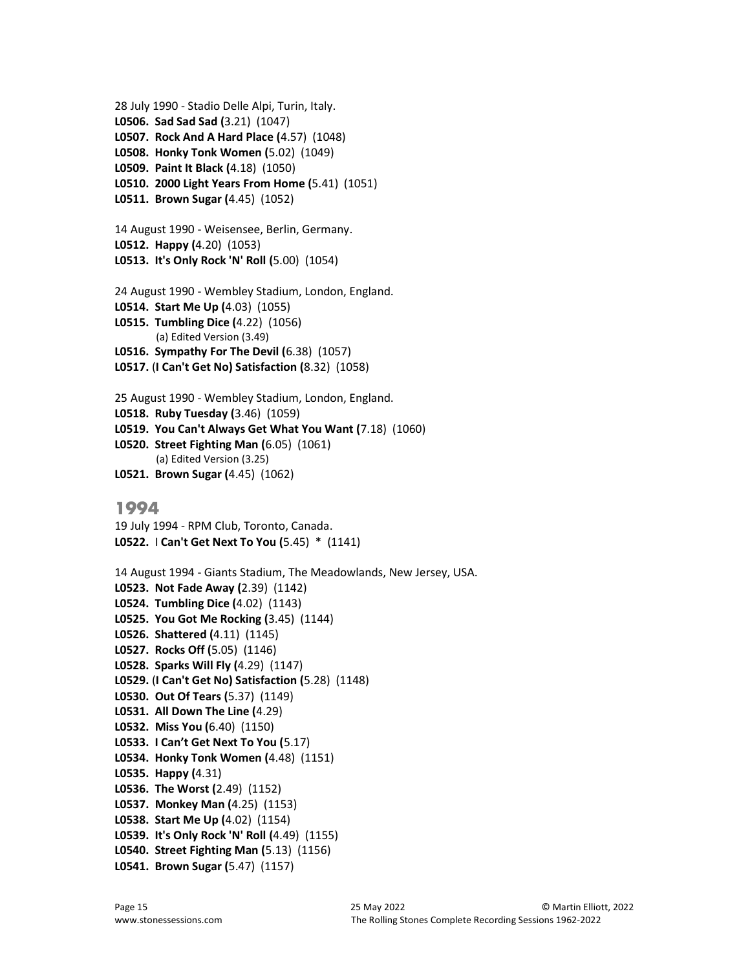```
28 July 1990 - Stadio Delle Alpi, Turin, Italy.
L0506. Sad Sad Sad (3.21) (1047) 
L0507. Rock And A Hard Place (4.57) (1048) 
L0508. Honky Tonk Women (5.02) (1049) 
L0509. Paint It Black (4.18) (1050) 
L0510. 2000 Light Years From Home (5.41) (1051) 
L0511. Brown Sugar (4.45) (1052) 
14 August 1990 - Weisensee, Berlin, Germany.
L0512. Happy (4.20) (1053) 
L0513. It's Only Rock 'N' Roll (5.00) (1054) 
24 August 1990 - Wembley Stadium, London, England.
L0514. Start Me Up (4.03) (1055) 
L0515. Tumbling Dice (4.22) (1056) 
        (a) Edited Version (3.49) 
L0516. Sympathy For The Devil (6.38) (1057) 
L0517. (I Can't Get No) Satisfaction (8.32) (1058) 
25 August 1990 - Wembley Stadium, London, England.
L0518. Ruby Tuesday (3.46) (1059) 
L0519. You Can't Always Get What You Want (7.18) (1060) 
L0520. Street Fighting Man (6.05) (1061) 
        (a) Edited Version (3.25) 
L0521. Brown Sugar (4.45) (1062) 
1994
19 July 1994 - RPM Club, Toronto, Canada.
L0522. I Can't Get Next To You (5.45) * (1141) 
14 August 1994 - Giants Stadium, The Meadowlands, New Jersey, USA.
L0523. Not Fade Away (2.39) (1142) 
L0524. Tumbling Dice (4.02) (1143) 
L0525. You Got Me Rocking (3.45) (1144)
```
- L0526. Shattered (4.11) (1145) L0527. Rocks Off (5.05) (1146) L0528. Sparks Will Fly (4.29) (1147) L0529. (I Can't Get No) Satisfaction (5.28) (1148) L0530. Out Of Tears (5.37) (1149) L0531. All Down The Line (4.29) L0532. Miss You (6.40) (1150) L0533. I Can't Get Next To You (5.17) L0534. Honky Tonk Women (4.48) (1151) L0535. Happy (4.31) L0536. The Worst (2.49) (1152) L0537. Monkey Man (4.25) (1153) L0538. Start Me Up (4.02) (1154) L0539. It's Only Rock 'N' Roll (4.49) (1155) L0540. Street Fighting Man (5.13) (1156)
- L0541. Brown Sugar (5.47) (1157)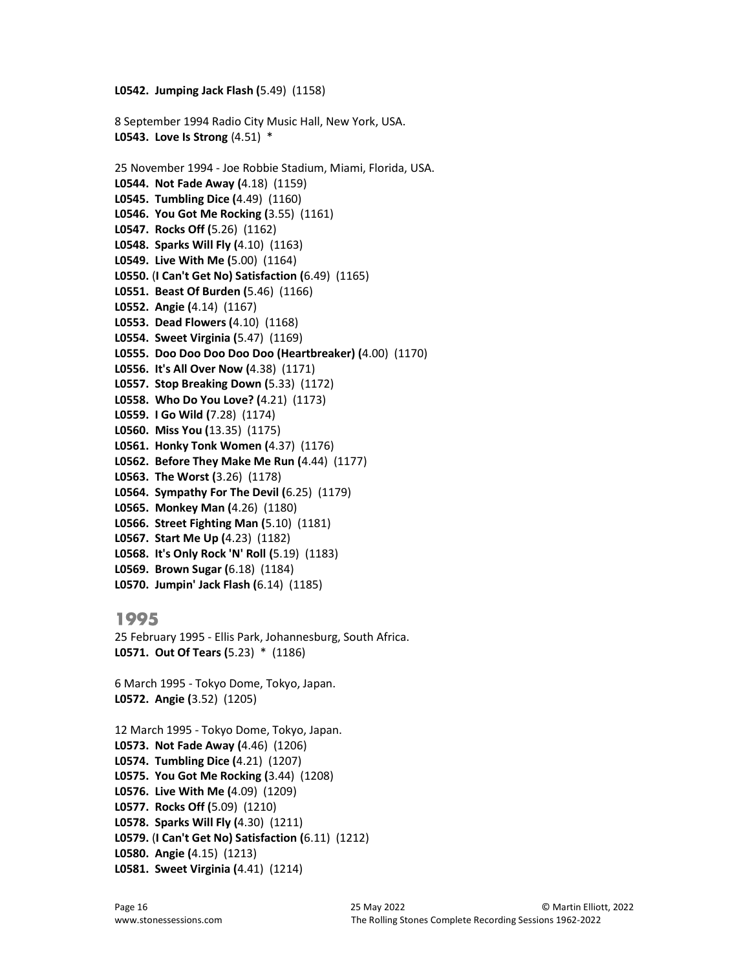L0542. Jumping Jack Flash (5.49) (1158)

8 September 1994 Radio City Music Hall, New York, USA. **L0543.** Love Is Strong  $(4.51)$  \*

25 November 1994 - Joe Robbie Stadium, Miami, Florida, USA. L0544. Not Fade Away (4.18) (1159) L0545. Tumbling Dice (4.49) (1160) L0546. You Got Me Rocking (3.55) (1161) L0547. Rocks Off (5.26) (1162) L0548. Sparks Will Fly (4.10) (1163) L0549. Live With Me (5.00) (1164) L0550. (I Can't Get No) Satisfaction (6.49) (1165) L0551. Beast Of Burden (5.46) (1166) L0552. Angie (4.14) (1167) L0553. Dead Flowers (4.10) (1168) L0554. Sweet Virginia (5.47) (1169) L0555. Doo Doo Doo Doo Doo (Heartbreaker) (4.00) (1170) L0556. It's All Over Now (4.38) (1171) L0557. Stop Breaking Down (5.33) (1172) L0558. Who Do You Love? (4.21) (1173) L0559. I Go Wild (7.28) (1174) L0560. Miss You (13.35) (1175) L0561. Honky Tonk Women (4.37) (1176) L0562. Before They Make Me Run (4.44) (1177) L0563. The Worst (3.26) (1178) L0564. Sympathy For The Devil (6.25) (1179) L0565. Monkey Man (4.26) (1180) L0566. Street Fighting Man (5.10) (1181) L0567. Start Me Up (4.23) (1182) L0568. It's Only Rock 'N' Roll (5.19) (1183) L0569. Brown Sugar (6.18) (1184) L0570. Jumpin' Jack Flash (6.14) (1185)

## 1995

25 February 1995 - Ellis Park, Johannesburg, South Africa. L0571. Out Of Tears (5.23) \* (1186)

6 March 1995 - Tokyo Dome, Tokyo, Japan. L0572. Angie (3.52) (1205)

12 March 1995 - Tokyo Dome, Tokyo, Japan. L0573. Not Fade Away (4.46) (1206) L0574. Tumbling Dice (4.21) (1207) L0575. You Got Me Rocking (3.44) (1208) L0576. Live With Me (4.09) (1209) L0577. Rocks Off (5.09) (1210) L0578. Sparks Will Fly (4.30) (1211) L0579. (I Can't Get No) Satisfaction (6.11) (1212) L0580. Angie (4.15) (1213) L0581. Sweet Virginia (4.41) (1214)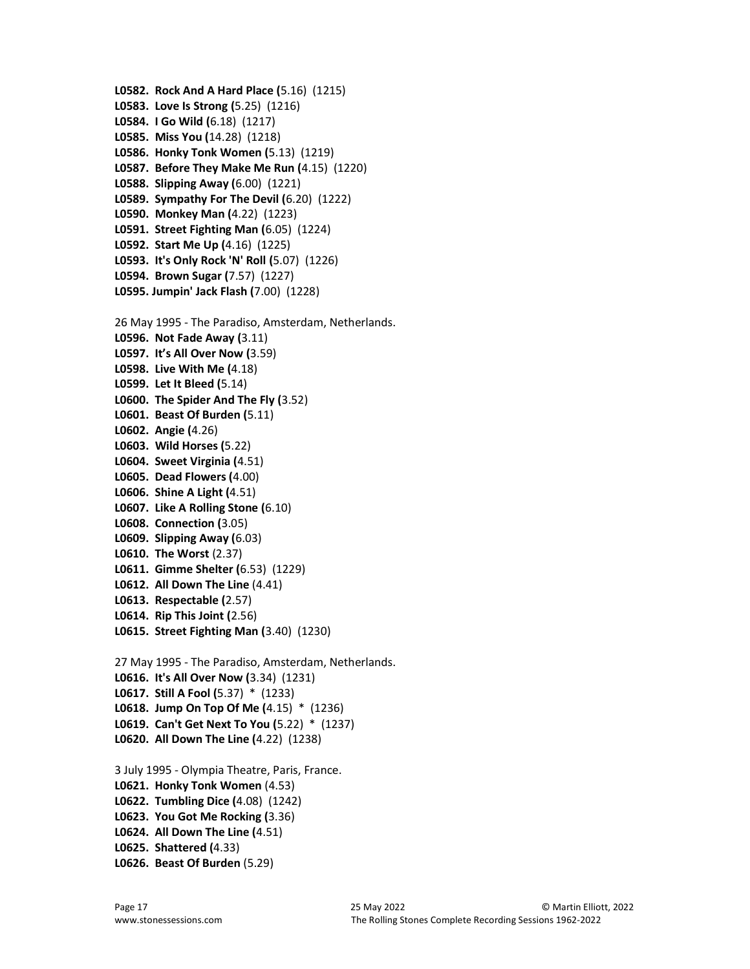```
L0582. Rock And A Hard Place (5.16) (1215) 
L0583. Love Is Strong (5.25) (1216) 
L0584. I Go Wild (6.18) (1217) 
L0585. Miss You (14.28) (1218) 
L0586. Honky Tonk Women (5.13) (1219) 
L0587. Before They Make Me Run (4.15) (1220) 
L0588. Slipping Away (6.00) (1221) 
L0589. Sympathy For The Devil (6.20) (1222) 
L0590. Monkey Man (4.22) (1223) 
L0591. Street Fighting Man (6.05) (1224) 
L0592. Start Me Up (4.16) (1225) 
L0593. It's Only Rock 'N' Roll (5.07) (1226) 
L0594. Brown Sugar (7.57) (1227) 
L0595. Jumpin' Jack Flash (7.00) (1228) 
26 May 1995 - The Paradiso, Amsterdam, Netherlands.
L0596. Not Fade Away (3.11) 
L0597. It's All Over Now (3.59) 
L0598. Live With Me (4.18) 
L0599. Let It Bleed (5.14) 
L0600. The Spider And The Fly (3.52) 
L0601. Beast Of Burden (5.11) 
L0602. Angie (4.26) 
L0603. Wild Horses (5.22) 
L0604. Sweet Virginia (4.51) 
L0605. Dead Flowers (4.00) 
L0606. Shine A Light (4.51) 
L0607. Like A Rolling Stone (6.10) 
L0608. Connection (3.05) 
L0609. Slipping Away (6.03) 
L0610. The Worst (2.37) 
L0611. Gimme Shelter (6.53) (1229) 
L0612. All Down The Line (4.41) 
L0613. Respectable (2.57) 
L0614. Rip This Joint (2.56) 
L0615. Street Fighting Man (3.40) (1230) 
27 May 1995 - The Paradiso, Amsterdam, Netherlands.
L0616. It's All Over Now (3.34) (1231) 
L0617. Still A Fool (5.37) * (1233) 
L0618. Jump On Top Of Me (4.15) * (1236) 
L0619. Can't Get Next To You (5.22) * (1237) 
L0620. All Down The Line (4.22) (1238) 
3 July 1995 - Olympia Theatre, Paris, France.
L0621. Honky Tonk Women (4.53) 
L0622. Tumbling Dice (4.08) (1242) 
L0623. You Got Me Rocking (3.36) 
L0624. All Down The Line (4.51) 
L0625. Shattered (4.33) 
L0626. Beast Of Burden (5.29)
```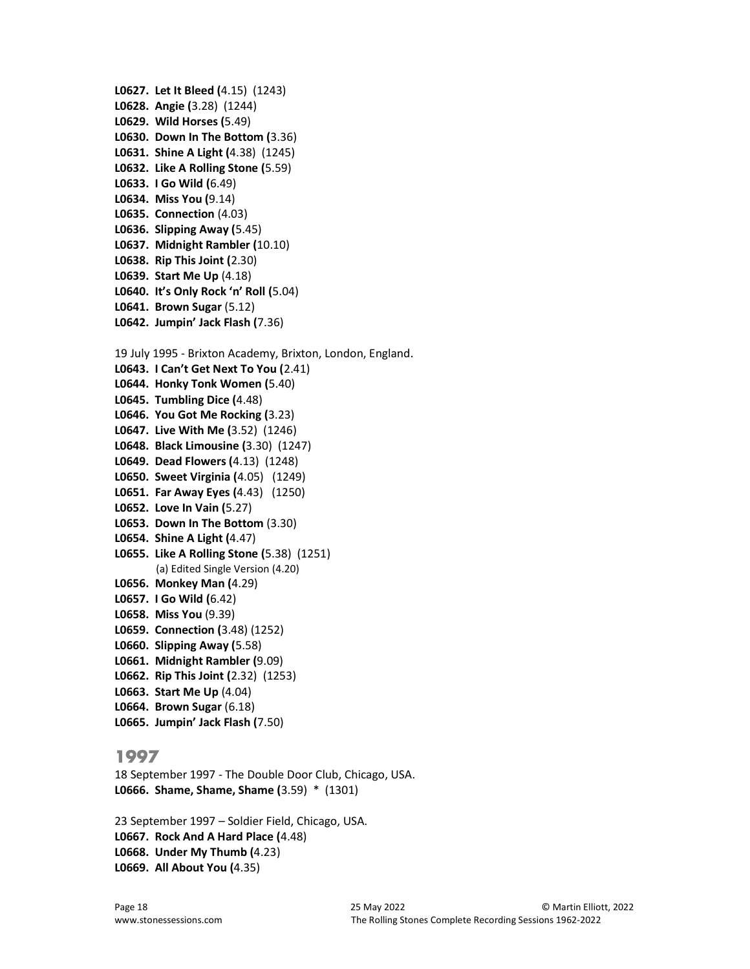L0627. Let It Bleed (4.15) (1243) L0628. Angie (3.28) (1244) L0629. Wild Horses (5.49) L0630. Down In The Bottom (3.36) L0631. Shine A Light (4.38) (1245) L0632. Like A Rolling Stone (5.59) L0633. I Go Wild (6.49) L0634. Miss You (9.14) L0635. Connection (4.03) L0636. Slipping Away (5.45) L0637. Midnight Rambler (10.10) L0638. Rip This Joint (2.30) L0639. Start Me Up (4.18) L0640. It's Only Rock 'n' Roll (5.04) L0641. Brown Sugar (5.12) L0642. Jumpin' Jack Flash (7.36) 19 July 1995 - Brixton Academy, Brixton, London, England. L0643. I Can't Get Next To You (2.41) L0644. Honky Tonk Women (5.40) L0645. Tumbling Dice (4.48) L0646. You Got Me Rocking (3.23) L0647. Live With Me (3.52) (1246) L0648. Black Limousine (3.30) (1247) L0649. Dead Flowers (4.13) (1248) L0650. Sweet Virginia (4.05) (1249) L0651. Far Away Eyes (4.43) (1250) L0652. Love In Vain (5.27) L0653. Down In The Bottom (3.30) L0654. Shine A Light (4.47) L0655. Like A Rolling Stone (5.38) (1251) (a) Edited Single Version (4.20) L0656. Monkey Man (4.29) L0657. I Go Wild (6.42) L0658. Miss You (9.39) L0659. Connection (3.48) (1252) L0660. Slipping Away (5.58) L0661. Midnight Rambler (9.09) L0662. Rip This Joint (2.32) (1253) L0663. Start Me Up (4.04) L0664. Brown Sugar (6.18) L0665. Jumpin' Jack Flash (7.50)

#### 1997

18 September 1997 - The Double Door Club, Chicago, USA. L0666. Shame, Shame, Shame (3.59) \* (1301)

23 September 1997 – Soldier Field, Chicago, USA. L0667. Rock And A Hard Place (4.48) L0668. Under My Thumb (4.23) L0669. All About You (4.35)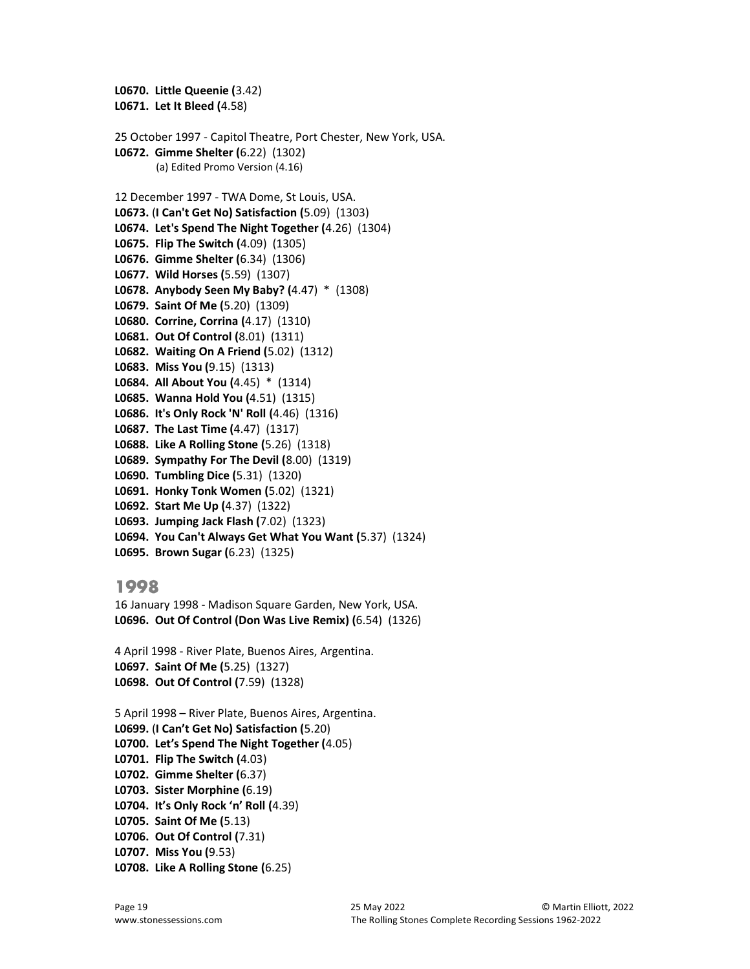```
L0670. Little Queenie (3.42) 
L0671. Let It Bleed (4.58) 
25 October 1997 - Capitol Theatre, Port Chester, New York, USA. 
L0672. Gimme Shelter (6.22) (1302) 
        (a) Edited Promo Version (4.16) 
12 December 1997 - TWA Dome, St Louis, USA.
L0673. (I Can't Get No) Satisfaction (5.09) (1303) 
L0674. Let's Spend The Night Together (4.26) (1304) 
L0675. Flip The Switch (4.09) (1305) 
L0676. Gimme Shelter (6.34) (1306) 
L0677. Wild Horses (5.59) (1307) 
L0678. Anybody Seen My Baby? (4.47) * (1308) 
L0679. Saint Of Me (5.20) (1309) 
L0680. Corrine, Corrina (4.17) (1310) 
L0681. Out Of Control (8.01) (1311) 
L0682. Waiting On A Friend (5.02) (1312) 
L0683. Miss You (9.15) (1313) 
L0684. All About You (4.45) * (1314) 
L0685. Wanna Hold You (4.51) (1315) 
L0686. It's Only Rock 'N' Roll (4.46) (1316) 
L0687. The Last Time (4.47) (1317) 
L0688. Like A Rolling Stone (5.26) (1318) 
L0689. Sympathy For The Devil (8.00) (1319) 
L0690. Tumbling Dice (5.31) (1320) 
L0691. Honky Tonk Women (5.02) (1321) 
L0692. Start Me Up (4.37) (1322) 
L0693. Jumping Jack Flash (7.02) (1323) 
L0694. You Can't Always Get What You Want (5.37) (1324) 
L0695. Brown Sugar (6.23) (1325)
```
16 January 1998 - Madison Square Garden, New York, USA. L0696. Out Of Control (Don Was Live Remix) (6.54) (1326)

4 April 1998 - River Plate, Buenos Aires, Argentina. L0697. Saint Of Me (5.25) (1327) L0698. Out Of Control (7.59) (1328)

5 April 1998 – River Plate, Buenos Aires, Argentina. L0699. (I Can't Get No) Satisfaction (5.20) L0700. Let's Spend The Night Together (4.05) L0701. Flip The Switch (4.03) L0702. Gimme Shelter (6.37) L0703. Sister Morphine (6.19) L0704. It's Only Rock 'n' Roll (4.39) L0705. Saint Of Me (5.13) L0706. Out Of Control (7.31)

```
L0707. Miss You (9.53)
```

```
L0708. Like A Rolling Stone (6.25)
```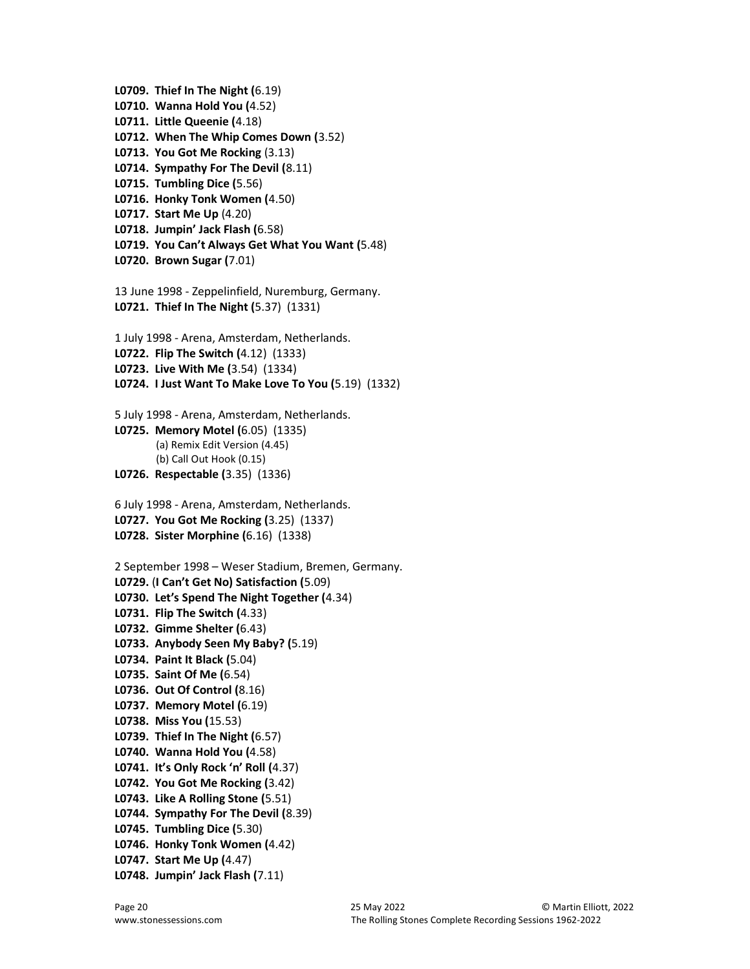L0709. Thief In The Night (6.19) L0710. Wanna Hold You (4.52) L0711. Little Queenie (4.18) L0712. When The Whip Comes Down (3.52) L0713. You Got Me Rocking (3.13) L0714. Sympathy For The Devil (8.11) L0715. Tumbling Dice (5.56) L0716. Honky Tonk Women (4.50) L0717. Start Me Up (4.20) L0718. Jumpin' Jack Flash (6.58) L0719. You Can't Always Get What You Want (5.48) L0720. Brown Sugar (7.01) 13 June 1998 - Zeppelinfield, Nuremburg, Germany. L0721. Thief In The Night (5.37) (1331) 1 July 1998 - Arena, Amsterdam, Netherlands. L0722. Flip The Switch (4.12) (1333) L0723. Live With Me (3.54) (1334) L0724. I Just Want To Make Love To You (5.19) (1332) 5 July 1998 - Arena, Amsterdam, Netherlands. L0725. Memory Motel (6.05) (1335) (a) Remix Edit Version (4.45) (b) Call Out Hook (0.15) L0726. Respectable (3.35) (1336) 6 July 1998 - Arena, Amsterdam, Netherlands. L0727. You Got Me Rocking (3.25) (1337) L0728. Sister Morphine (6.16) (1338) 2 September 1998 – Weser Stadium, Bremen, Germany. L0729. (I Can't Get No) Satisfaction (5.09) L0730. Let's Spend The Night Together (4.34) L0731. Flip The Switch (4.33) L0732. Gimme Shelter (6.43) L0733. Anybody Seen My Baby? (5.19) L0734. Paint It Black (5.04) L0735. Saint Of Me (6.54) L0736. Out Of Control (8.16) L0737. Memory Motel (6.19) L0738. Miss You (15.53) L0739. Thief In The Night (6.57) L0740. Wanna Hold You (4.58) L0741. It's Only Rock 'n' Roll (4.37) L0742. You Got Me Rocking (3.42) L0743. Like A Rolling Stone (5.51) L0744. Sympathy For The Devil (8.39) L0745. Tumbling Dice (5.30) L0746. Honky Tonk Women (4.42) L0747. Start Me Up (4.47)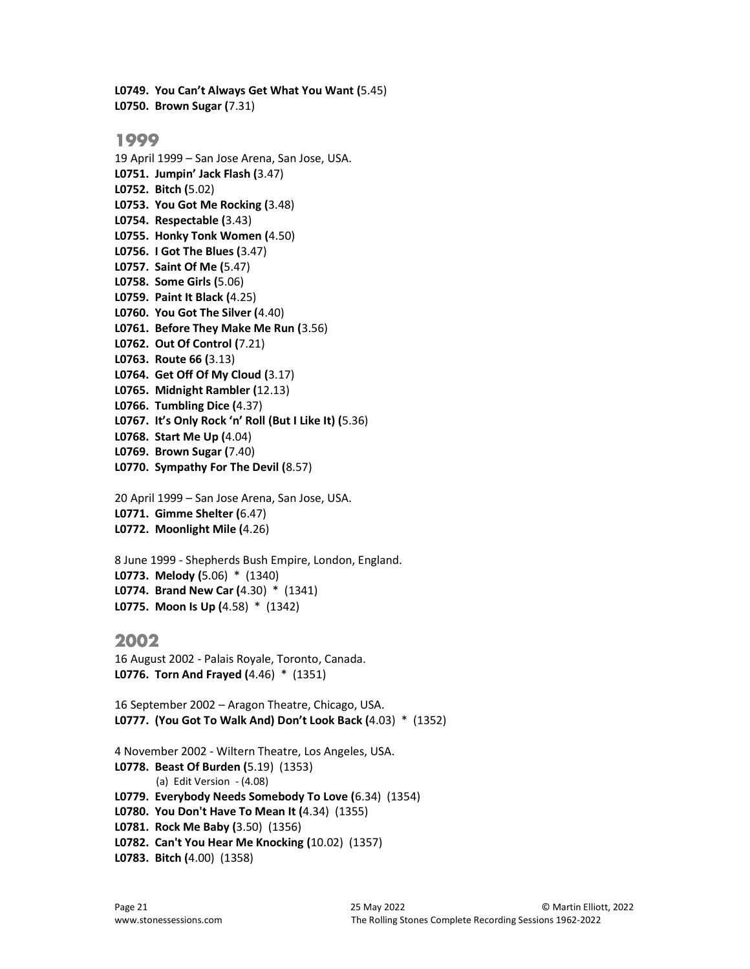L0749. You Can't Always Get What You Want (5.45) L0750. Brown Sugar (7.31)

#### 1999

19 April 1999 – San Jose Arena, San Jose, USA. L0751. Jumpin' Jack Flash (3.47) L0752. Bitch (5.02) L0753. You Got Me Rocking (3.48) L0754. Respectable (3.43) L0755. Honky Tonk Women (4.50) L0756. I Got The Blues (3.47) L0757. Saint Of Me (5.47) L0758. Some Girls (5.06) L0759. Paint It Black (4.25) L0760. You Got The Silver (4.40) L0761. Before They Make Me Run (3.56) L0762. Out Of Control (7.21) L0763. Route 66 (3.13) L0764. Get Off Of My Cloud (3.17) L0765. Midnight Rambler (12.13) L0766. Tumbling Dice (4.37) L0767. It's Only Rock 'n' Roll (But I Like It) (5.36) L0768. Start Me Up (4.04) L0769. Brown Sugar (7.40) L0770. Sympathy For The Devil (8.57)

```
20 April 1999 – San Jose Arena, San Jose, USA.
L0771. Gimme Shelter (6.47) 
L0772. Moonlight Mile (4.26)
```
8 June 1999 - Shepherds Bush Empire, London, England. L0773. Melody (5.06) \* (1340) L0774. Brand New Car (4.30) \* (1341) L0775. Moon Is Up (4.58) \* (1342)

## 2002

```
16 August 2002 - Palais Royale, Toronto, Canada.
L0776. Torn And Frayed (4.46) * (1351)
```
16 September 2002 – Aragon Theatre, Chicago, USA. L0777. (You Got To Walk And) Don't Look Back (4.03) \* (1352)

4 November 2002 - Wiltern Theatre, Los Angeles, USA. L0778. Beast Of Burden (5.19) (1353) (a) Edit Version - (4.08) L0779. Everybody Needs Somebody To Love (6.34) (1354) L0780. You Don't Have To Mean It (4.34) (1355) L0781. Rock Me Baby (3.50) (1356) L0782. Can't You Hear Me Knocking (10.02) (1357) L0783. Bitch (4.00) (1358)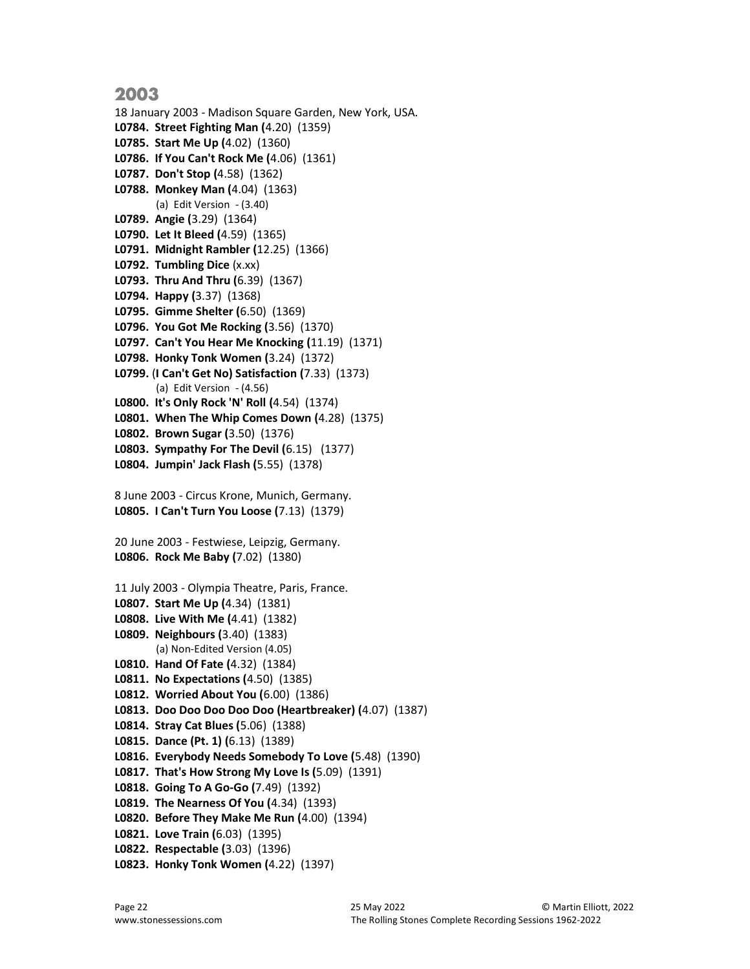18 January 2003 - Madison Square Garden, New York, USA. L0784. Street Fighting Man (4.20) (1359) L0785. Start Me Up (4.02) (1360) L0786. If You Can't Rock Me (4.06) (1361) L0787. Don't Stop (4.58) (1362) L0788. Monkey Man (4.04) (1363) (a) Edit Version - (3.40) L0789. Angie (3.29) (1364) L0790. Let It Bleed (4.59) (1365) L0791. Midnight Rambler (12.25) (1366) L0792. Tumbling Dice (x.xx) L0793. Thru And Thru (6.39) (1367) L0794. Happy (3.37) (1368) L0795. Gimme Shelter (6.50) (1369) L0796. You Got Me Rocking (3.56) (1370) L0797. Can't You Hear Me Knocking (11.19) (1371) L0798. Honky Tonk Women (3.24) (1372) L0799. (I Can't Get No) Satisfaction (7.33) (1373) (a) Edit Version - (4.56) L0800. It's Only Rock 'N' Roll (4.54) (1374) L0801. When The Whip Comes Down (4.28) (1375) L0802. Brown Sugar (3.50) (1376) L0803. Sympathy For The Devil (6.15) (1377) L0804. Jumpin' Jack Flash (5.55) (1378) 8 June 2003 - Circus Krone, Munich, Germany. L0805. I Can't Turn You Loose (7.13) (1379) 20 June 2003 - Festwiese, Leipzig, Germany. L0806. Rock Me Baby (7.02) (1380) 11 July 2003 - Olympia Theatre, Paris, France. L0807. Start Me Up (4.34) (1381) L0808. Live With Me (4.41) (1382) L0809. Neighbours (3.40) (1383) (a) Non-Edited Version (4.05) L0810. Hand Of Fate (4.32) (1384) L0811. No Expectations (4.50) (1385) L0812. Worried About You (6.00) (1386) L0813. Doo Doo Doo Doo Doo (Heartbreaker) (4.07) (1387) L0814. Stray Cat Blues (5.06) (1388) L0815. Dance (Pt. 1) (6.13) (1389) L0816. Everybody Needs Somebody To Love (5.48) (1390) L0817. That's How Strong My Love Is (5.09) (1391) L0818. Going To A Go-Go (7.49) (1392) L0819. The Nearness Of You (4.34) (1393) L0820. Before They Make Me Run (4.00) (1394) L0821. Love Train (6.03) (1395) L0822. Respectable (3.03) (1396) L0823. Honky Tonk Women (4.22) (1397)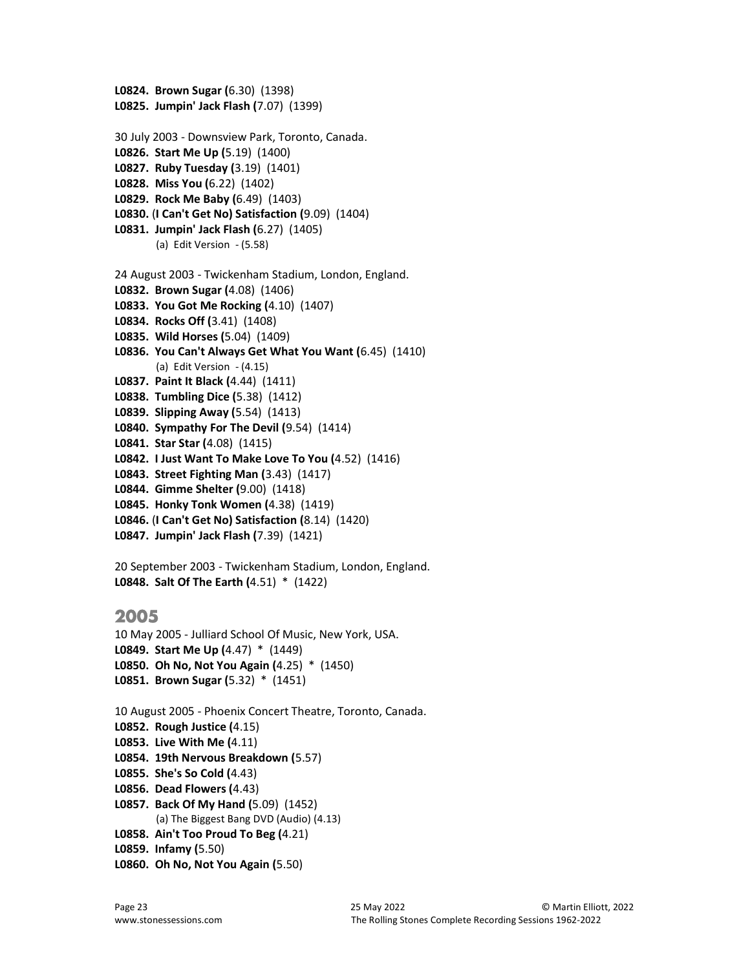```
L0824. Brown Sugar (6.30) (1398) 
L0825. Jumpin' Jack Flash (7.07) (1399) 
30 July 2003 - Downsview Park, Toronto, Canada.
L0826. Start Me Up (5.19) (1400) 
L0827. Ruby Tuesday (3.19) (1401) 
L0828. Miss You (6.22) (1402) 
L0829. Rock Me Baby (6.49) (1403) 
L0830. (I Can't Get No) Satisfaction (9.09) (1404) 
L0831. Jumpin' Jack Flash (6.27) (1405) 
        (a) Edit Version - (5.58)
24 August 2003 - Twickenham Stadium, London, England.
L0832. Brown Sugar (4.08) (1406) 
L0833. You Got Me Rocking (4.10) (1407) 
L0834. Rocks Off (3.41) (1408) 
L0835. Wild Horses (5.04) (1409) 
L0836. You Can't Always Get What You Want (6.45) (1410) 
        (a) Edit Version - (4.15)
L0837. Paint It Black (4.44) (1411) 
L0838. Tumbling Dice (5.38) (1412) 
L0839. Slipping Away (5.54) (1413) 
L0840. Sympathy For The Devil (9.54) (1414) 
L0841. Star Star (4.08) (1415) 
L0842. I Just Want To Make Love To You (4.52) (1416) 
L0843. Street Fighting Man (3.43) (1417) 
L0844. Gimme Shelter (9.00) (1418) 
L0845. Honky Tonk Women (4.38) (1419) 
L0846. (I Can't Get No) Satisfaction (8.14) (1420) 
L0847. Jumpin' Jack Flash (7.39) (1421) 
20 September 2003 - Twickenham Stadium, London, England.
L0848. Salt Of The Earth (4.51) * (1422)
```

```
10 May 2005 - Julliard School Of Music, New York, USA. 
L0849. Start Me Up (4.47) * (1449) 
L0850. Oh No, Not You Again (4.25) * (1450) 
L0851. Brown Sugar (5.32) * (1451)
```
10 August 2005 - Phoenix Concert Theatre, Toronto, Canada. L0852. Rough Justice (4.15) L0853. Live With Me (4.11) L0854. 19th Nervous Breakdown (5.57) L0855. She's So Cold (4.43) L0856. Dead Flowers (4.43) L0857. Back Of My Hand (5.09) (1452) (a) The Biggest Bang DVD (Audio) (4.13)

L0858. Ain't Too Proud To Beg (4.21)

```
L0859. Infamy (5.50)
```
L0860. Oh No, Not You Again (5.50)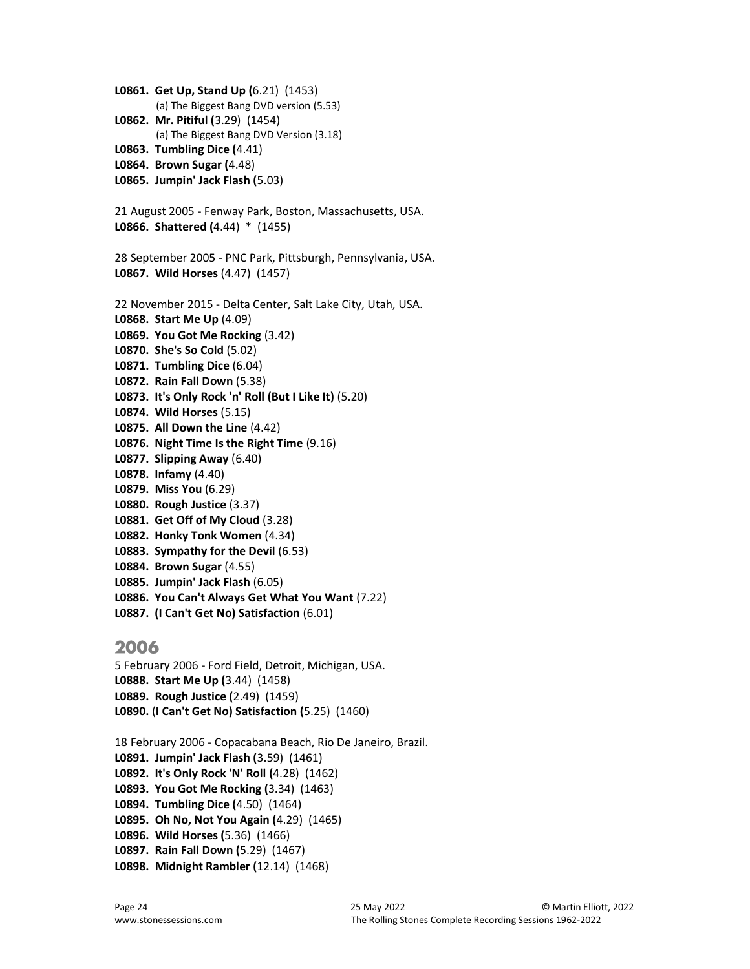L0861. Get Up, Stand Up (6.21) (1453) (a) The Biggest Bang DVD version (5.53) L0862. Mr. Pitiful (3.29) (1454) (a) The Biggest Bang DVD Version (3.18) L0863. Tumbling Dice (4.41) L0864. Brown Sugar (4.48) L0865. Jumpin' Jack Flash (5.03) 21 August 2005 - Fenway Park, Boston, Massachusetts, USA. L0866. Shattered (4.44) \* (1455) 28 September 2005 - PNC Park, Pittsburgh, Pennsylvania, USA. L0867. Wild Horses (4.47) (1457) 22 November 2015 - Delta Center, Salt Lake City, Utah, USA. L0868. Start Me Up (4.09) L0869. You Got Me Rocking (3.42) L0870. She's So Cold (5.02) L0871. Tumbling Dice (6.04) L0872. Rain Fall Down (5.38) L0873. It's Only Rock 'n' Roll (But I Like It) (5.20) L0874. Wild Horses (5.15) L0875. All Down the Line (4.42) L0876. Night Time Is the Right Time (9.16) L0877. Slipping Away (6.40) L0878. Infamy (4.40) L0879. Miss You (6.29) L0880. Rough Justice (3.37) L0881. Get Off of My Cloud (3.28) L0882. Honky Tonk Women (4.34) L0883. Sympathy for the Devil (6.53) L0884. Brown Sugar (4.55) L0885. Jumpin' Jack Flash (6.05) L0886. You Can't Always Get What You Want (7.22) L0887. (I Can't Get No) Satisfaction (6.01) 2006

5 February 2006 - Ford Field, Detroit, Michigan, USA. L0888. Start Me Up (3.44) (1458) L0889. Rough Justice (2.49) (1459) L0890. (I Can't Get No) Satisfaction (5.25) (1460)

18 February 2006 - Copacabana Beach, Rio De Janeiro, Brazil. L0891. Jumpin' Jack Flash (3.59) (1461) L0892. It's Only Rock 'N' Roll (4.28) (1462) L0893. You Got Me Rocking (3.34) (1463) L0894. Tumbling Dice (4.50) (1464) L0895. Oh No, Not You Again (4.29) (1465) L0896. Wild Horses (5.36) (1466) L0897. Rain Fall Down (5.29) (1467) L0898. Midnight Rambler (12.14) (1468)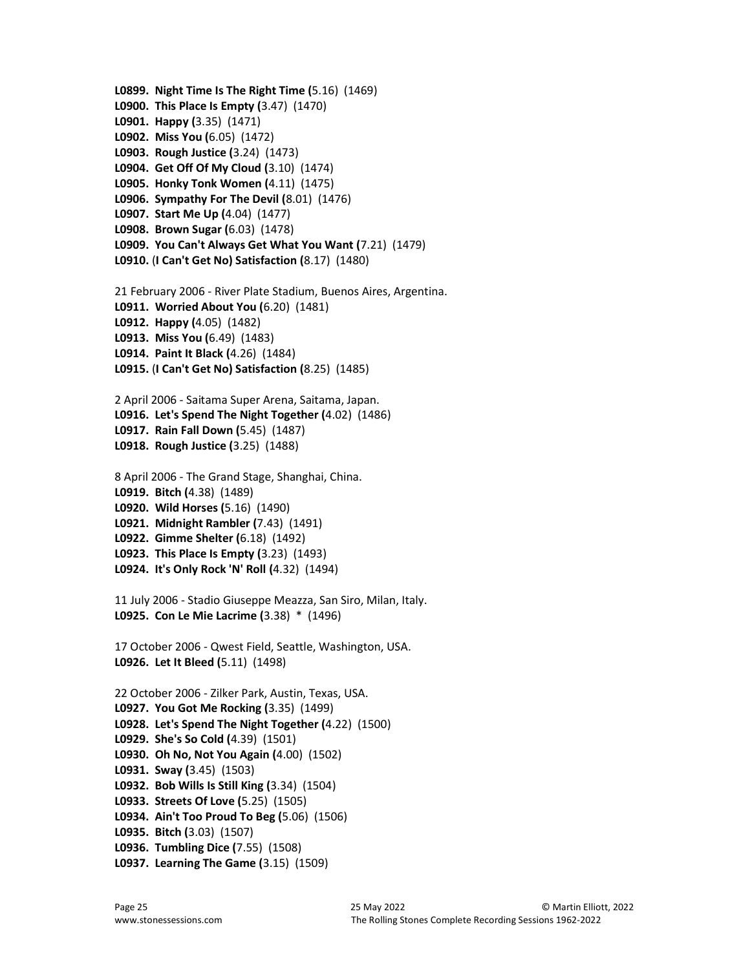L0899. Night Time Is The Right Time (5.16) (1469) L0900. This Place Is Empty (3.47) (1470) L0901. Happy (3.35) (1471) L0902. Miss You (6.05) (1472) L0903. Rough Justice (3.24) (1473) L0904. Get Off Of My Cloud (3.10) (1474) L0905. Honky Tonk Women (4.11) (1475) L0906. Sympathy For The Devil (8.01) (1476) L0907. Start Me Up (4.04) (1477) L0908. Brown Sugar (6.03) (1478) L0909. You Can't Always Get What You Want (7.21) (1479) L0910. (I Can't Get No) Satisfaction (8.17) (1480) 21 February 2006 - River Plate Stadium, Buenos Aires, Argentina. L0911. Worried About You (6.20) (1481) L0912. Happy (4.05) (1482) L0913. Miss You (6.49) (1483) L0914. Paint It Black (4.26) (1484) L0915. (I Can't Get No) Satisfaction (8.25) (1485) 2 April 2006 - Saitama Super Arena, Saitama, Japan. L0916. Let's Spend The Night Together (4.02) (1486) L0917. Rain Fall Down (5.45) (1487) L0918. Rough Justice (3.25) (1488) 8 April 2006 - The Grand Stage, Shanghai, China. L0919. Bitch (4.38) (1489) L0920. Wild Horses (5.16) (1490) L0921. Midnight Rambler (7.43) (1491) L0922. Gimme Shelter (6.18) (1492) L0923. This Place Is Empty (3.23) (1493) L0924. It's Only Rock 'N' Roll (4.32) (1494) 11 July 2006 - Stadio Giuseppe Meazza, San Siro, Milan, Italy. L0925. Con Le Mie Lacrime (3.38) \* (1496) 17 October 2006 - Qwest Field, Seattle, Washington, USA. L0926. Let It Bleed (5.11) (1498) 22 October 2006 - Zilker Park, Austin, Texas, USA. L0927. You Got Me Rocking (3.35) (1499) L0928. Let's Spend The Night Together (4.22) (1500) L0929. She's So Cold (4.39) (1501) L0930. Oh No, Not You Again (4.00) (1502) L0931. Sway (3.45) (1503) L0932. Bob Wills Is Still King (3.34) (1504) L0933. Streets Of Love (5.25) (1505) L0934. Ain't Too Proud To Beg (5.06) (1506) L0935. Bitch (3.03) (1507) L0936. Tumbling Dice (7.55) (1508) L0937. Learning The Game (3.15) (1509)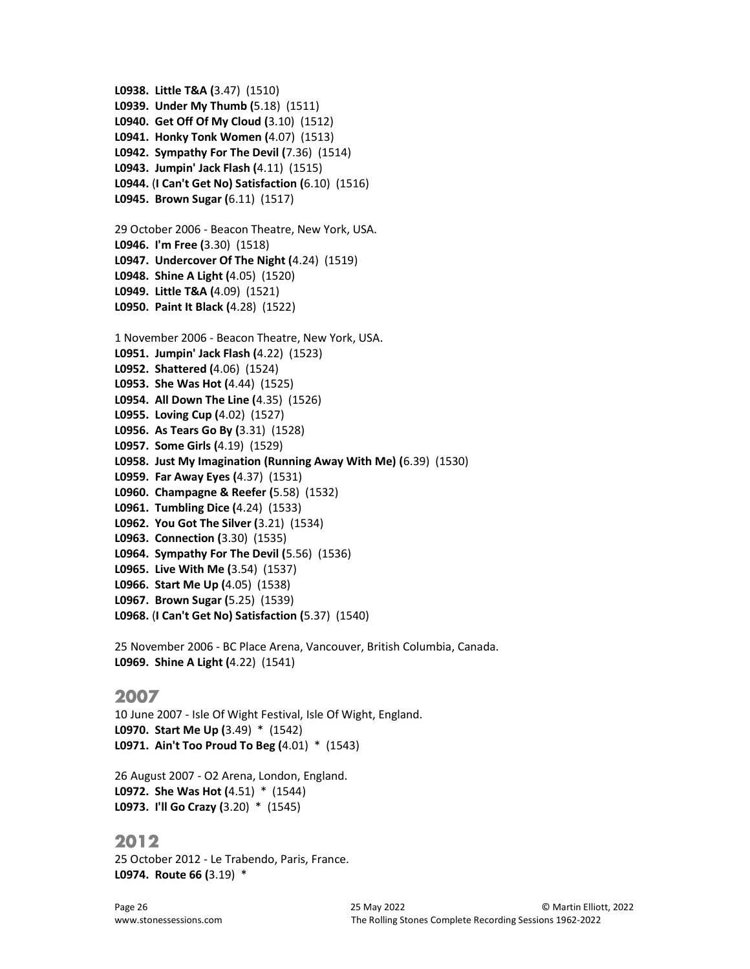```
L0939. Under My Thumb (5.18) (1511) 
L0940. Get Off Of My Cloud (3.10) (1512) 
L0941. Honky Tonk Women (4.07) (1513) 
L0942. Sympathy For The Devil (7.36) (1514) 
L0943. Jumpin' Jack Flash (4.11) (1515) 
L0944. (I Can't Get No) Satisfaction (6.10) (1516) 
L0945. Brown Sugar (6.11) (1517) 
29 October 2006 - Beacon Theatre, New York, USA.
L0946. I'm Free (3.30) (1518) 
L0947. Undercover Of The Night (4.24) (1519) 
L0948. Shine A Light (4.05) (1520) 
L0949. Little T&A (4.09) (1521) 
L0950. Paint It Black (4.28) (1522) 
1 November 2006 - Beacon Theatre, New York, USA.
L0951. Jumpin' Jack Flash (4.22) (1523) 
L0952. Shattered (4.06) (1524) 
L0953. She Was Hot (4.44) (1525) 
L0954. All Down The Line (4.35) (1526) 
L0955. Loving Cup (4.02) (1527) 
L0956. As Tears Go By (3.31) (1528) 
L0957. Some Girls (4.19) (1529) 
L0958. Just My Imagination (Running Away With Me) (6.39) (1530) 
L0959. Far Away Eyes (4.37) (1531) 
L0960. Champagne & Reefer (5.58) (1532) 
L0961. Tumbling Dice (4.24) (1533) 
L0962. You Got The Silver (3.21) (1534) 
L0963. Connection (3.30) (1535) 
L0964. Sympathy For The Devil (5.56) (1536) 
L0965. Live With Me (3.54) (1537) 
L0966. Start Me Up (4.05) (1538) 
L0967. Brown Sugar (5.25) (1539) 
L0968. (I Can't Get No) Satisfaction (5.37) (1540)
```
L0938. Little T&A (3.47) (1510)

25 November 2006 - BC Place Arena, Vancouver, British Columbia, Canada. L0969. Shine A Light (4.22) (1541)

## 2007

10 June 2007 - Isle Of Wight Festival, Isle Of Wight, England. L0970. Start Me Up (3.49) \* (1542) L0971. Ain't Too Proud To Beg (4.01) \* (1543)

26 August 2007 - O2 Arena, London, England. L0972. She Was Hot (4.51) \* (1544) L0973. I'll Go Crazy (3.20) \* (1545)

## 2012

25 October 2012 - Le Trabendo, Paris, France. L0974. Route 66 (3.19) \*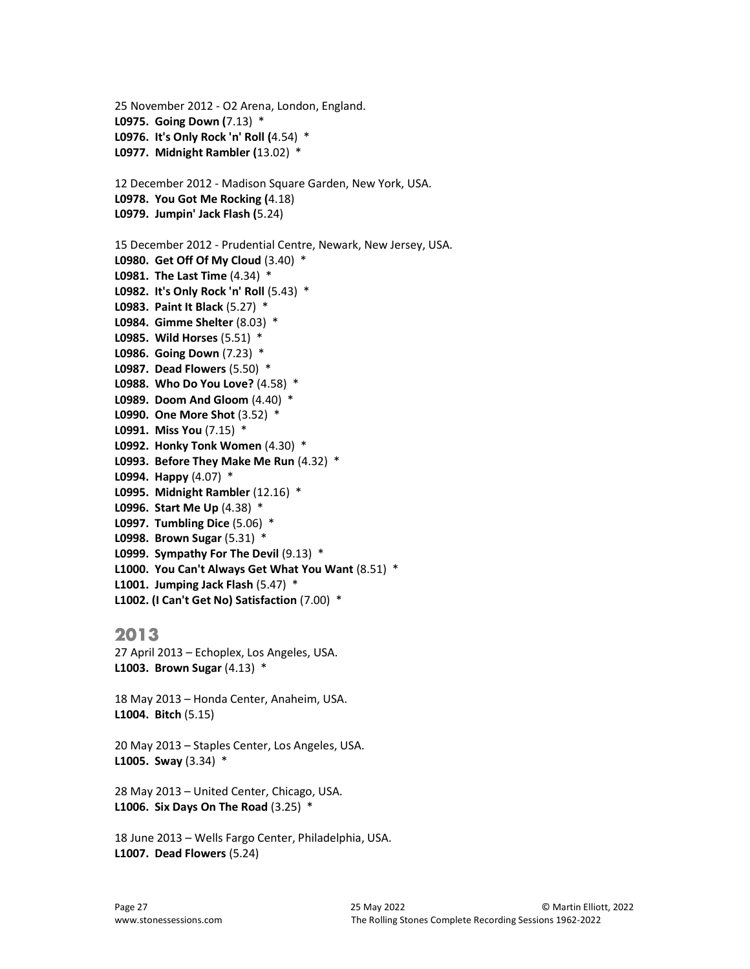```
25 November 2012 - O2 Arena, London, England.
L0975. Going Down (7.13) * 
L0976. It's Only Rock 'n' Roll (4.54) * 
L0977. Midnight Rambler (13.02) * 
12 December 2012 - Madison Square Garden, New York, USA.
L0978. You Got Me Rocking (4.18) 
L0979. Jumpin' Jack Flash (5.24) 
15 December 2012 - Prudential Centre, Newark, New Jersey, USA.
L0980. Get Off Of My Cloud (3.40) *
L0981. The Last Time (4.34) *
L0982. It's Only Rock 'n' Roll (5.43) *
L0983. Paint It Black (5.27) *
L0984. Gimme Shelter (8.03) *
L0985. Wild Horses (5.51) *
L0986. Going Down (7.23) *
L0987. Dead Flowers (5.50) *
L0988. Who Do You Love? (4.58) *
L0989. Doom And Gloom (4.40) *
L0990. One More Shot (3.52) *
L0991. Miss You (7.15) *
L0992. Honky Tonk Women (4.30) *
L0993. Before They Make Me Run (4.32) *
L0994. Happy (4.07) *
L0995. Midnight Rambler (12.16) *
L0996. Start Me Up (4.38) *
L0997. Tumbling Dice (5.06) *
L0998. Brown Sugar (5.31) *
L0999. Sympathy For The Devil (9.13) *
L1000. You Can't Always Get What You Want (8.51) *
L1001. Jumping Jack Flash (5.47) *
L1002. (I Can't Get No) Satisfaction (7.00) *
```
27 April 2013 – Echoplex, Los Angeles, USA. L1003. Brown Sugar (4.13) \*

18 May 2013 – Honda Center, Anaheim, USA. L1004. Bitch (5.15)

20 May 2013 – Staples Center, Los Angeles, USA. L1005. Sway (3.34) \*

28 May 2013 – United Center, Chicago, USA. **L1006. Six Days On The Road**  $(3.25)$  **\*** 

18 June 2013 – Wells Fargo Center, Philadelphia, USA. L1007. Dead Flowers (5.24)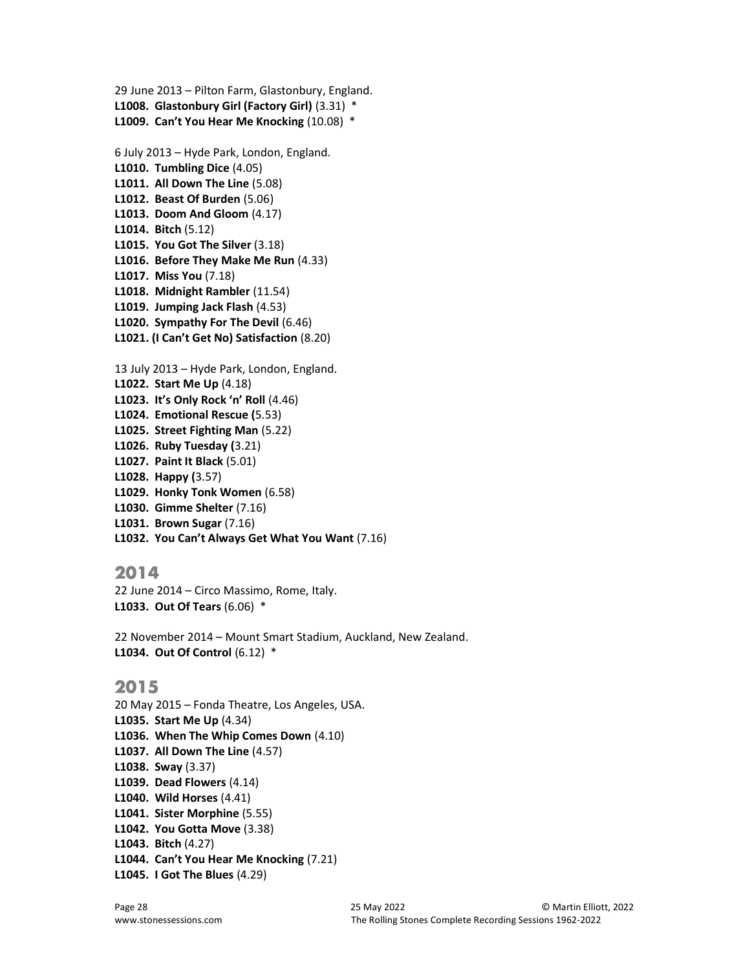```
29 June 2013 – Pilton Farm, Glastonbury, England. 
L1008. Glastonbury Girl (Factory Girl) (3.31) * 
L1009. Can't You Hear Me Knocking (10.08) *
6 July 2013 – Hyde Park, London, England. 
L1010. Tumbling Dice (4.05) 
L1011. All Down The Line (5.08) 
L1012. Beast Of Burden (5.06) 
L1013. Doom And Gloom (4.17) 
L1014. Bitch (5.12) 
L1015. You Got The Silver (3.18) 
L1016. Before They Make Me Run (4.33) 
L1017. Miss You (7.18) 
L1018. Midnight Rambler (11.54) 
L1019. Jumping Jack Flash (4.53) 
L1020. Sympathy For The Devil (6.46) 
L1021. (I Can't Get No) Satisfaction (8.20) 
13 July 2013 – Hyde Park, London, England. 
L1022. Start Me Up (4.18) 
L1023. It's Only Rock 'n' Roll (4.46) 
L1024. Emotional Rescue (5.53) 
L1025. Street Fighting Man (5.22) 
L1026. Ruby Tuesday (3.21) 
L1027. Paint It Black (5.01) 
L1028. Happy (3.57) 
L1029. Honky Tonk Women (6.58) 
L1030. Gimme Shelter (7.16) 
L1031. Brown Sugar (7.16) 
L1032. You Can't Always Get What You Want (7.16)
```
22 June 2014 – Circo Massimo, Rome, Italy. L1033. Out Of Tears (6.06) \*

22 November 2014 – Mount Smart Stadium, Auckland, New Zealand. L1034. Out Of Control (6.12) \*

## 2015

20 May 2015 – Fonda Theatre, Los Angeles, USA. L1035. Start Me Up (4.34) L1036. When The Whip Comes Down (4.10) L1037. All Down The Line (4.57) L1038. Sway (3.37) L1039. Dead Flowers (4.14) L1040. Wild Horses (4.41) L1041. Sister Morphine (5.55) L1042. You Gotta Move (3.38) L1043. Bitch (4.27) L1044. Can't You Hear Me Knocking (7.21) L1045. I Got The Blues (4.29)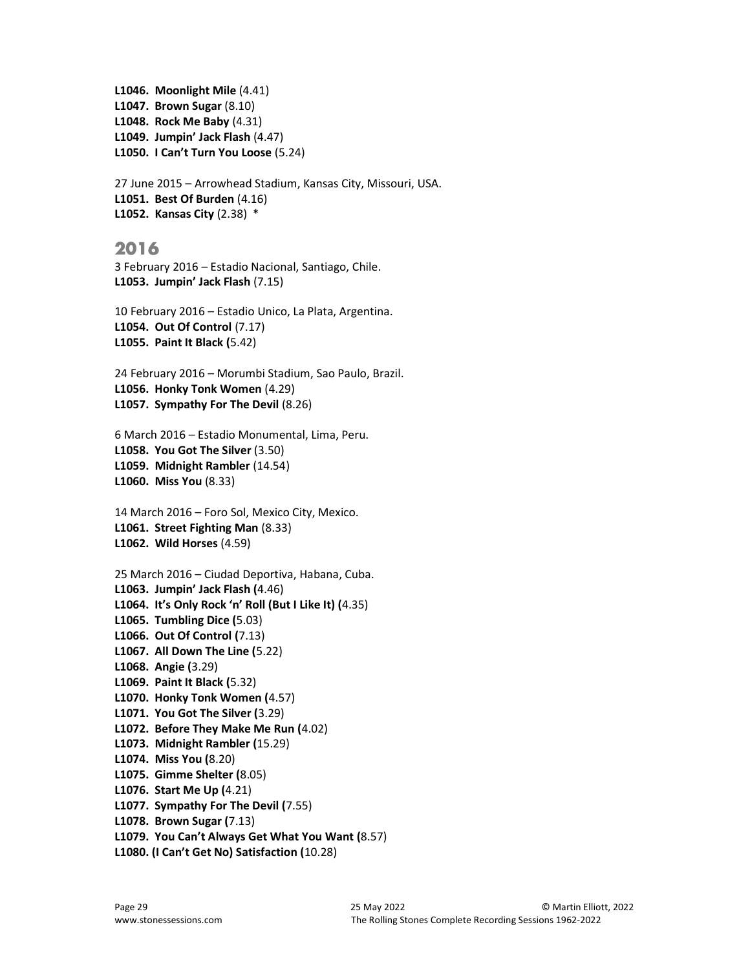```
L1046. Moonlight Mile (4.41) 
L1047. Brown Sugar (8.10) 
L1048. Rock Me Baby (4.31) 
L1049. Jumpin' Jack Flash (4.47) 
L1050. I Can't Turn You Loose (5.24)
```
27 June 2015 – Arrowhead Stadium, Kansas City, Missouri, USA. L1051. Best Of Burden (4.16) L1052. Kansas City (2.38) \*

## 2016

3 February 2016 – Estadio Nacional, Santiago, Chile. L1053. Jumpin' Jack Flash (7.15)

10 February 2016 – Estadio Unico, La Plata, Argentina. L1054. Out Of Control (7.17) L1055. Paint It Black (5.42)

24 February 2016 – Morumbi Stadium, Sao Paulo, Brazil. L1056. Honky Tonk Women (4.29) L1057. Sympathy For The Devil (8.26)

6 March 2016 – Estadio Monumental, Lima, Peru. L1058. You Got The Silver (3.50) L1059. Midnight Rambler (14.54) L1060. Miss You (8.33)

14 March 2016 – Foro Sol, Mexico City, Mexico. L1061. Street Fighting Man (8.33) L1062. Wild Horses (4.59)

25 March 2016 – Ciudad Deportiva, Habana, Cuba. L1063. Jumpin' Jack Flash (4.46) L1064. It's Only Rock 'n' Roll (But I Like It) (4.35) L1065. Tumbling Dice (5.03) L1066. Out Of Control (7.13) L1067. All Down The Line (5.22) L1068. Angie (3.29) L1069. Paint It Black (5.32) L1070. Honky Tonk Women (4.57) L1071. You Got The Silver (3.29) L1072. Before They Make Me Run (4.02) L1073. Midnight Rambler (15.29) L1074. Miss You (8.20) L1075. Gimme Shelter (8.05) L1076. Start Me Up (4.21) L1077. Sympathy For The Devil (7.55) L1078. Brown Sugar (7.13) L1079. You Can't Always Get What You Want (8.57) L1080. (I Can't Get No) Satisfaction (10.28)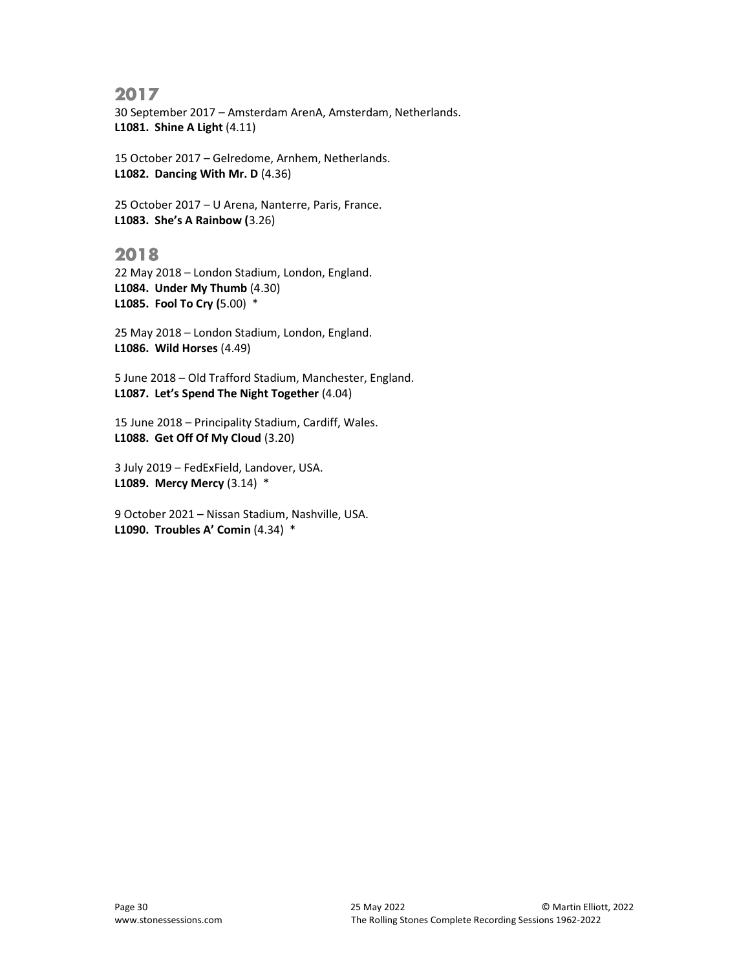30 September 2017 – Amsterdam ArenA, Amsterdam, Netherlands. L1081. Shine A Light (4.11)

15 October 2017 – Gelredome, Arnhem, Netherlands. L1082. Dancing With Mr. D (4.36)

25 October 2017 – U Arena, Nanterre, Paris, France. L1083. She's A Rainbow (3.26)

## 2018

22 May 2018 – London Stadium, London, England. L1084. Under My Thumb (4.30) L1085. Fool To Cry (5.00) \*

25 May 2018 – London Stadium, London, England. L1086. Wild Horses (4.49)

5 June 2018 – Old Trafford Stadium, Manchester, England. L1087. Let's Spend The Night Together (4.04)

15 June 2018 – Principality Stadium, Cardiff, Wales. L1088. Get Off Of My Cloud (3.20)

3 July 2019 – FedExField, Landover, USA. L1089. Mercy Mercy (3.14) \*

9 October 2021 – Nissan Stadium, Nashville, USA. L1090. Troubles A' Comin (4.34) \*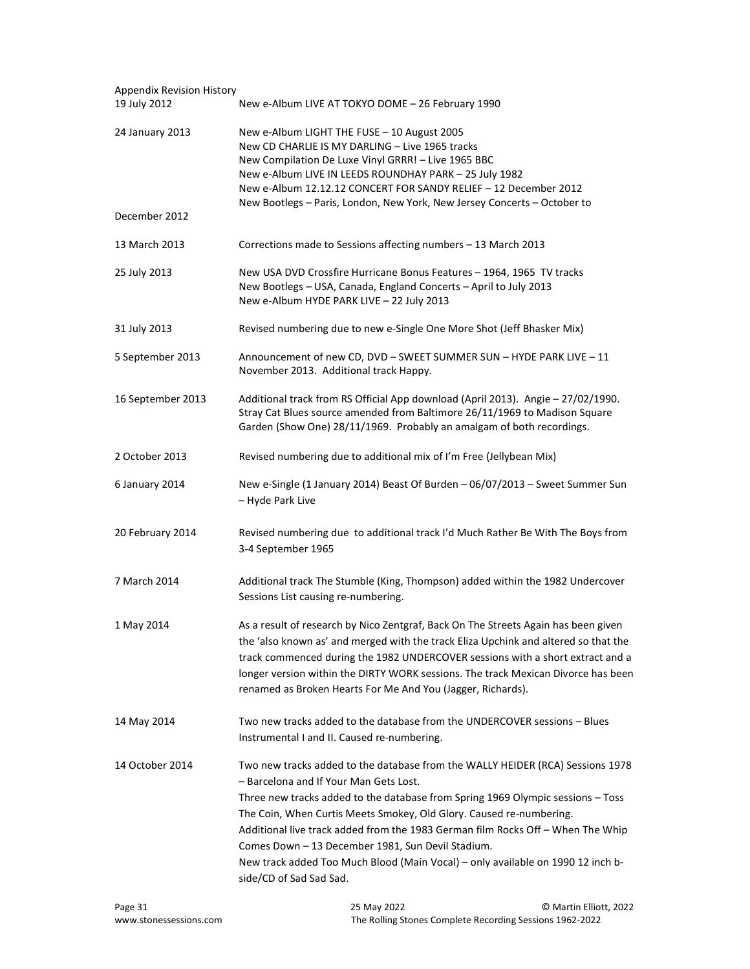| <b>Appendix Revision History</b><br>19 July 2012 | New e-Album LIVE AT TOKYO DOME - 26 February 1990                                                                                                                                                                                                                                                                                                                                                                                                                                                                                        |
|--------------------------------------------------|------------------------------------------------------------------------------------------------------------------------------------------------------------------------------------------------------------------------------------------------------------------------------------------------------------------------------------------------------------------------------------------------------------------------------------------------------------------------------------------------------------------------------------------|
| 24 January 2013                                  | New e-Album LIGHT THE FUSE - 10 August 2005<br>New CD CHARLIE IS MY DARLING - Live 1965 tracks                                                                                                                                                                                                                                                                                                                                                                                                                                           |
|                                                  | New Compilation De Luxe Vinyl GRRR! - Live 1965 BBC<br>New e-Album LIVE IN LEEDS ROUNDHAY PARK - 25 July 1982<br>New e-Album 12.12.12 CONCERT FOR SANDY RELIEF - 12 December 2012<br>New Bootlegs - Paris, London, New York, New Jersey Concerts - October to                                                                                                                                                                                                                                                                            |
| December 2012                                    |                                                                                                                                                                                                                                                                                                                                                                                                                                                                                                                                          |
| 13 March 2013                                    | Corrections made to Sessions affecting numbers - 13 March 2013                                                                                                                                                                                                                                                                                                                                                                                                                                                                           |
| 25 July 2013                                     | New USA DVD Crossfire Hurricane Bonus Features - 1964, 1965 TV tracks<br>New Bootlegs - USA, Canada, England Concerts - April to July 2013<br>New e-Album HYDE PARK LIVE - 22 July 2013                                                                                                                                                                                                                                                                                                                                                  |
| 31 July 2013                                     | Revised numbering due to new e-Single One More Shot (Jeff Bhasker Mix)                                                                                                                                                                                                                                                                                                                                                                                                                                                                   |
| 5 September 2013                                 | Announcement of new CD, DVD - SWEET SUMMER SUN - HYDE PARK LIVE - 11<br>November 2013. Additional track Happy.                                                                                                                                                                                                                                                                                                                                                                                                                           |
| 16 September 2013                                | Additional track from RS Official App download (April 2013). Angie - 27/02/1990.<br>Stray Cat Blues source amended from Baltimore 26/11/1969 to Madison Square<br>Garden (Show One) 28/11/1969. Probably an amalgam of both recordings.                                                                                                                                                                                                                                                                                                  |
| 2 October 2013                                   | Revised numbering due to additional mix of I'm Free (Jellybean Mix)                                                                                                                                                                                                                                                                                                                                                                                                                                                                      |
| 6 January 2014                                   | New e-Single (1 January 2014) Beast Of Burden - 06/07/2013 - Sweet Summer Sun<br>- Hyde Park Live                                                                                                                                                                                                                                                                                                                                                                                                                                        |
| 20 February 2014                                 | Revised numbering due to additional track I'd Much Rather Be With The Boys from<br>3-4 September 1965                                                                                                                                                                                                                                                                                                                                                                                                                                    |
| 7 March 2014                                     | Additional track The Stumble (King, Thompson) added within the 1982 Undercover<br>Sessions List causing re-numbering.                                                                                                                                                                                                                                                                                                                                                                                                                    |
| 1 May 2014                                       | As a result of research by Nico Zentgraf, Back On The Streets Again has been given<br>the 'also known as' and merged with the track Eliza Upchink and altered so that the<br>track commenced during the 1982 UNDERCOVER sessions with a short extract and a<br>longer version within the DIRTY WORK sessions. The track Mexican Divorce has been<br>renamed as Broken Hearts For Me And You (Jagger, Richards).                                                                                                                          |
| 14 May 2014                                      | Two new tracks added to the database from the UNDERCOVER sessions - Blues<br>Instrumental I and II. Caused re-numbering.                                                                                                                                                                                                                                                                                                                                                                                                                 |
| 14 October 2014                                  | Two new tracks added to the database from the WALLY HEIDER (RCA) Sessions 1978<br>- Barcelona and If Your Man Gets Lost.<br>Three new tracks added to the database from Spring 1969 Olympic sessions - Toss<br>The Coin, When Curtis Meets Smokey, Old Glory. Caused re-numbering.<br>Additional live track added from the 1983 German film Rocks Off - When The Whip<br>Comes Down - 13 December 1981, Sun Devil Stadium.<br>New track added Too Much Blood (Main Vocal) - only available on 1990 12 inch b-<br>side/CD of Sad Sad Sad. |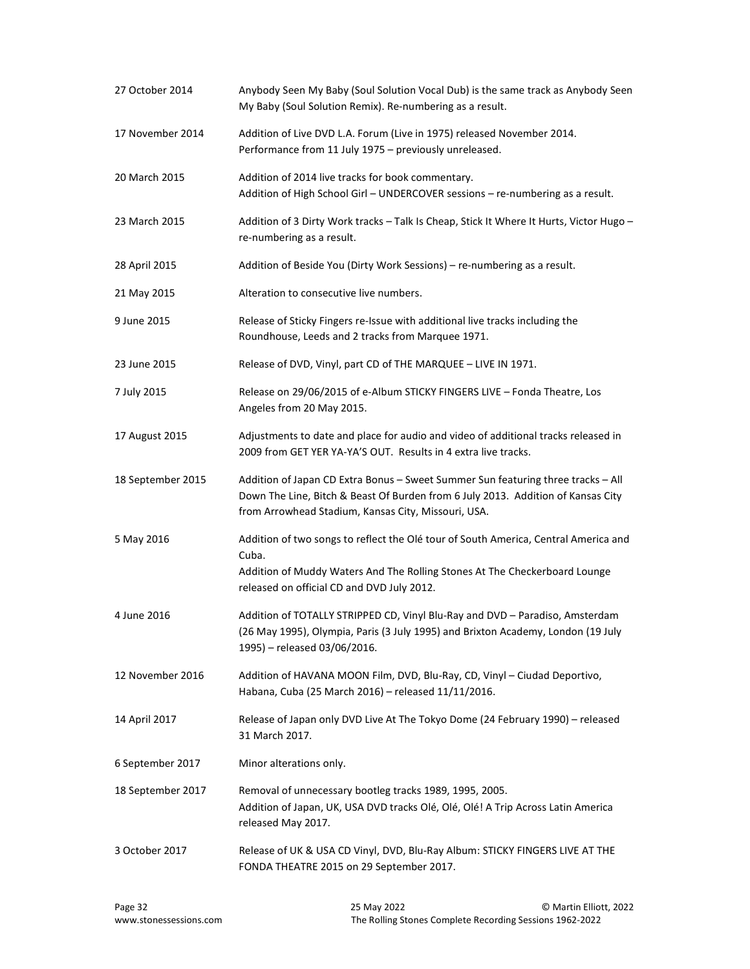| 27 October 2014   | Anybody Seen My Baby (Soul Solution Vocal Dub) is the same track as Anybody Seen<br>My Baby (Soul Solution Remix). Re-numbering as a result.                                                                                |
|-------------------|-----------------------------------------------------------------------------------------------------------------------------------------------------------------------------------------------------------------------------|
| 17 November 2014  | Addition of Live DVD L.A. Forum (Live in 1975) released November 2014.<br>Performance from 11 July 1975 - previously unreleased.                                                                                            |
| 20 March 2015     | Addition of 2014 live tracks for book commentary.<br>Addition of High School Girl - UNDERCOVER sessions - re-numbering as a result.                                                                                         |
| 23 March 2015     | Addition of 3 Dirty Work tracks - Talk Is Cheap, Stick It Where It Hurts, Victor Hugo -<br>re-numbering as a result.                                                                                                        |
| 28 April 2015     | Addition of Beside You (Dirty Work Sessions) - re-numbering as a result.                                                                                                                                                    |
| 21 May 2015       | Alteration to consecutive live numbers.                                                                                                                                                                                     |
| 9 June 2015       | Release of Sticky Fingers re-Issue with additional live tracks including the<br>Roundhouse, Leeds and 2 tracks from Marquee 1971.                                                                                           |
| 23 June 2015      | Release of DVD, Vinyl, part CD of THE MARQUEE - LIVE IN 1971.                                                                                                                                                               |
| 7 July 2015       | Release on 29/06/2015 of e-Album STICKY FINGERS LIVE - Fonda Theatre, Los<br>Angeles from 20 May 2015.                                                                                                                      |
| 17 August 2015    | Adjustments to date and place for audio and video of additional tracks released in<br>2009 from GET YER YA-YA'S OUT. Results in 4 extra live tracks.                                                                        |
| 18 September 2015 | Addition of Japan CD Extra Bonus - Sweet Summer Sun featuring three tracks - All<br>Down The Line, Bitch & Beast Of Burden from 6 July 2013. Addition of Kansas City<br>from Arrowhead Stadium, Kansas City, Missouri, USA. |
| 5 May 2016        | Addition of two songs to reflect the Olé tour of South America, Central America and<br>Cuba.<br>Addition of Muddy Waters And The Rolling Stones At The Checkerboard Lounge<br>released on official CD and DVD July 2012.    |
| 4 June 2016       | Addition of TOTALLY STRIPPED CD, Vinyl Blu-Ray and DVD - Paradiso, Amsterdam<br>(26 May 1995), Olympia, Paris (3 July 1995) and Brixton Academy, London (19 July<br>1995) - released 03/06/2016.                            |
| 12 November 2016  | Addition of HAVANA MOON Film, DVD, Blu-Ray, CD, Vinyl - Ciudad Deportivo,<br>Habana, Cuba (25 March 2016) - released 11/11/2016.                                                                                            |
| 14 April 2017     | Release of Japan only DVD Live At The Tokyo Dome (24 February 1990) - released<br>31 March 2017.                                                                                                                            |
| 6 September 2017  | Minor alterations only.                                                                                                                                                                                                     |
| 18 September 2017 | Removal of unnecessary bootleg tracks 1989, 1995, 2005.<br>Addition of Japan, UK, USA DVD tracks Olé, Olé, Olé! A Trip Across Latin America<br>released May 2017.                                                           |
| 3 October 2017    | Release of UK & USA CD Vinyl, DVD, Blu-Ray Album: STICKY FINGERS LIVE AT THE<br>FONDA THEATRE 2015 on 29 September 2017.                                                                                                    |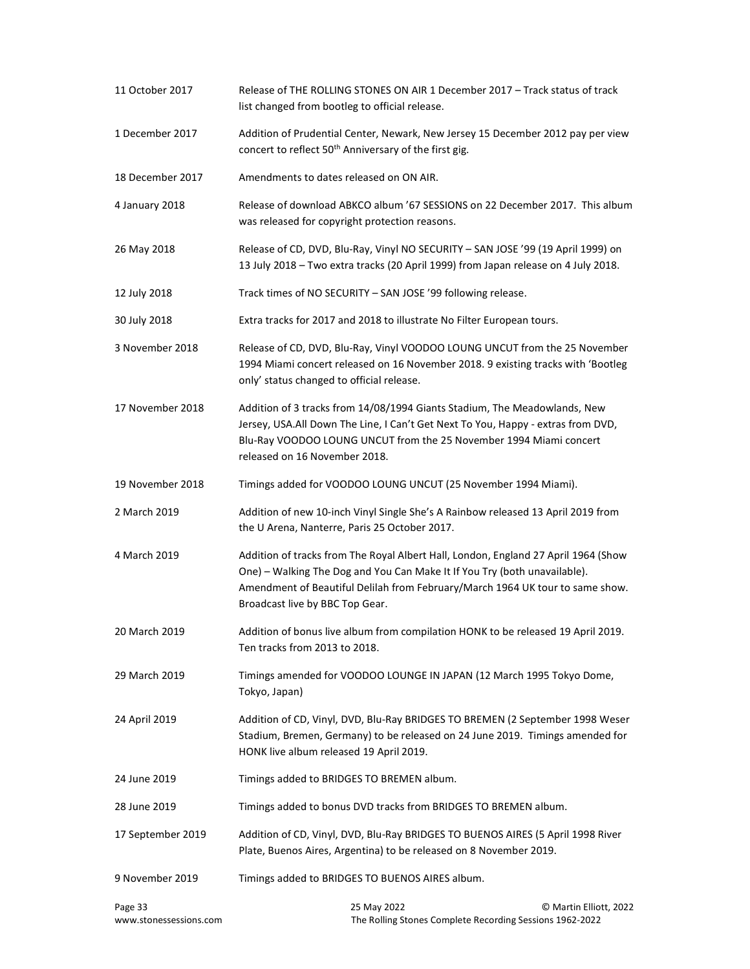| 11 October 2017                   | Release of THE ROLLING STONES ON AIR 1 December 2017 - Track status of track<br>list changed from bootleg to official release.                                                                                                                                                      |
|-----------------------------------|-------------------------------------------------------------------------------------------------------------------------------------------------------------------------------------------------------------------------------------------------------------------------------------|
| 1 December 2017                   | Addition of Prudential Center, Newark, New Jersey 15 December 2012 pay per view<br>concert to reflect 50 <sup>th</sup> Anniversary of the first gig.                                                                                                                                |
| 18 December 2017                  | Amendments to dates released on ON AIR.                                                                                                                                                                                                                                             |
| 4 January 2018                    | Release of download ABKCO album '67 SESSIONS on 22 December 2017. This album<br>was released for copyright protection reasons.                                                                                                                                                      |
| 26 May 2018                       | Release of CD, DVD, Blu-Ray, Vinyl NO SECURITY - SAN JOSE '99 (19 April 1999) on<br>13 July 2018 - Two extra tracks (20 April 1999) from Japan release on 4 July 2018.                                                                                                              |
| 12 July 2018                      | Track times of NO SECURITY - SAN JOSE '99 following release.                                                                                                                                                                                                                        |
| 30 July 2018                      | Extra tracks for 2017 and 2018 to illustrate No Filter European tours.                                                                                                                                                                                                              |
| 3 November 2018                   | Release of CD, DVD, Blu-Ray, Vinyl VOODOO LOUNG UNCUT from the 25 November<br>1994 Miami concert released on 16 November 2018. 9 existing tracks with 'Bootleg<br>only' status changed to official release.                                                                         |
| 17 November 2018                  | Addition of 3 tracks from 14/08/1994 Giants Stadium, The Meadowlands, New<br>Jersey, USA.All Down The Line, I Can't Get Next To You, Happy - extras from DVD,<br>Blu-Ray VOODOO LOUNG UNCUT from the 25 November 1994 Miami concert<br>released on 16 November 2018.                |
| 19 November 2018                  | Timings added for VOODOO LOUNG UNCUT (25 November 1994 Miami).                                                                                                                                                                                                                      |
| 2 March 2019                      | Addition of new 10-inch Vinyl Single She's A Rainbow released 13 April 2019 from<br>the U Arena, Nanterre, Paris 25 October 2017.                                                                                                                                                   |
| 4 March 2019                      | Addition of tracks from The Royal Albert Hall, London, England 27 April 1964 (Show<br>One) - Walking The Dog and You Can Make It If You Try (both unavailable).<br>Amendment of Beautiful Delilah from February/March 1964 UK tour to same show.<br>Broadcast live by BBC Top Gear. |
| 20 March 2019                     | Addition of bonus live album from compilation HONK to be released 19 April 2019.<br>Ten tracks from 2013 to 2018.                                                                                                                                                                   |
| 29 March 2019                     | Timings amended for VOODOO LOUNGE IN JAPAN (12 March 1995 Tokyo Dome,<br>Tokyo, Japan)                                                                                                                                                                                              |
| 24 April 2019                     | Addition of CD, Vinyl, DVD, Blu-Ray BRIDGES TO BREMEN (2 September 1998 Weser<br>Stadium, Bremen, Germany) to be released on 24 June 2019. Timings amended for<br>HONK live album released 19 April 2019.                                                                           |
| 24 June 2019                      | Timings added to BRIDGES TO BREMEN album.                                                                                                                                                                                                                                           |
| 28 June 2019                      | Timings added to bonus DVD tracks from BRIDGES TO BREMEN album.                                                                                                                                                                                                                     |
| 17 September 2019                 | Addition of CD, Vinyl, DVD, Blu-Ray BRIDGES TO BUENOS AIRES (5 April 1998 River<br>Plate, Buenos Aires, Argentina) to be released on 8 November 2019.                                                                                                                               |
| 9 November 2019                   | Timings added to BRIDGES TO BUENOS AIRES album.                                                                                                                                                                                                                                     |
| Page 33<br>www.stonessessions.com | 25 May 2022<br>© Martin Elliott, 2022<br>The Rolling Stones Complete Recording Sessions 1962-2022                                                                                                                                                                                   |